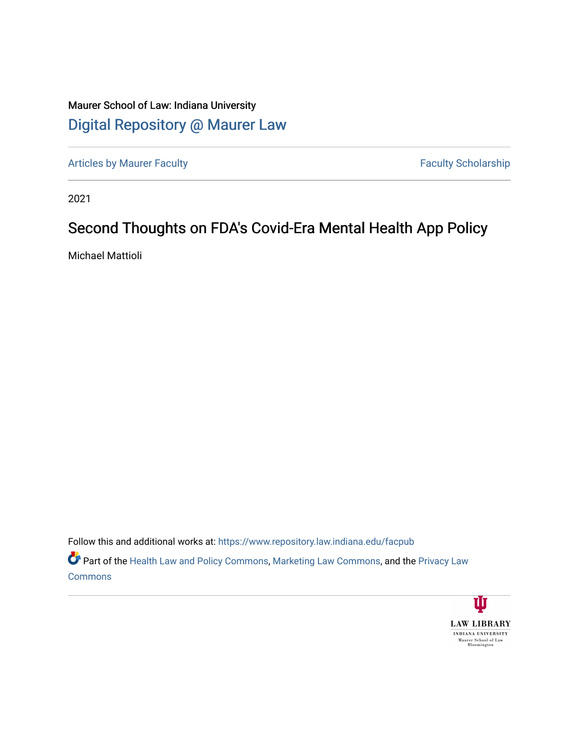# Maurer School of Law: Indiana University [Digital Repository @ Maurer Law](https://www.repository.law.indiana.edu/)

[Articles by Maurer Faculty](https://www.repository.law.indiana.edu/facpub) **Faculty Faculty** Scholarship

2021

# Second Thoughts on FDA's Covid-Era Mental Health App Policy

Michael Mattioli

Follow this and additional works at: [https://www.repository.law.indiana.edu/facpub](https://www.repository.law.indiana.edu/facpub?utm_source=www.repository.law.indiana.edu%2Ffacpub%2F3033&utm_medium=PDF&utm_campaign=PDFCoverPages) Part of the [Health Law and Policy Commons](http://network.bepress.com/hgg/discipline/901?utm_source=www.repository.law.indiana.edu%2Ffacpub%2F3033&utm_medium=PDF&utm_campaign=PDFCoverPages), [Marketing Law Commons,](http://network.bepress.com/hgg/discipline/1045?utm_source=www.repository.law.indiana.edu%2Ffacpub%2F3033&utm_medium=PDF&utm_campaign=PDFCoverPages) and the [Privacy Law](http://network.bepress.com/hgg/discipline/1234?utm_source=www.repository.law.indiana.edu%2Ffacpub%2F3033&utm_medium=PDF&utm_campaign=PDFCoverPages)  **[Commons](http://network.bepress.com/hgg/discipline/1234?utm_source=www.repository.law.indiana.edu%2Ffacpub%2F3033&utm_medium=PDF&utm_campaign=PDFCoverPages)** 

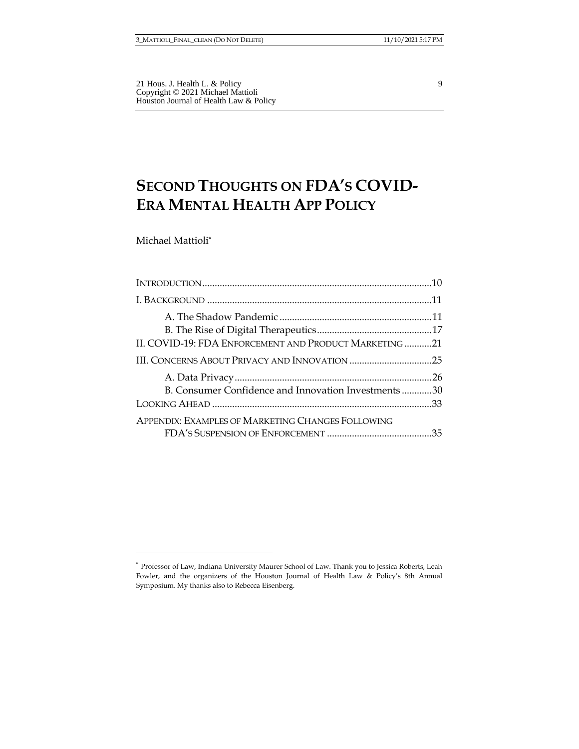21 Hous. J. Health L. & Policy 9 Copyright © 2021 Michael Mattioli Houston Journal of Health Law & Policy

# **SECOND THOUGHTS ON FDA'S COVID-ERA MENTAL HEALTH APP POLICY**

Michael Mattioli\*

| II. COVID-19: FDA ENFORCEMENT AND PRODUCT MARKETING 21 |  |
|--------------------------------------------------------|--|
|                                                        |  |
|                                                        |  |
| B. Consumer Confidence and Innovation Investments30    |  |
|                                                        |  |
| APPENDIX: EXAMPLES OF MARKETING CHANGES FOLLOWING      |  |

<sup>\*</sup> Professor of Law, Indiana University Maurer School of Law. Thank you to Jessica Roberts, Leah Fowler, and the organizers of the Houston Journal of Health Law & Policy's 8th Annual Symposium. My thanks also to Rebecca Eisenberg.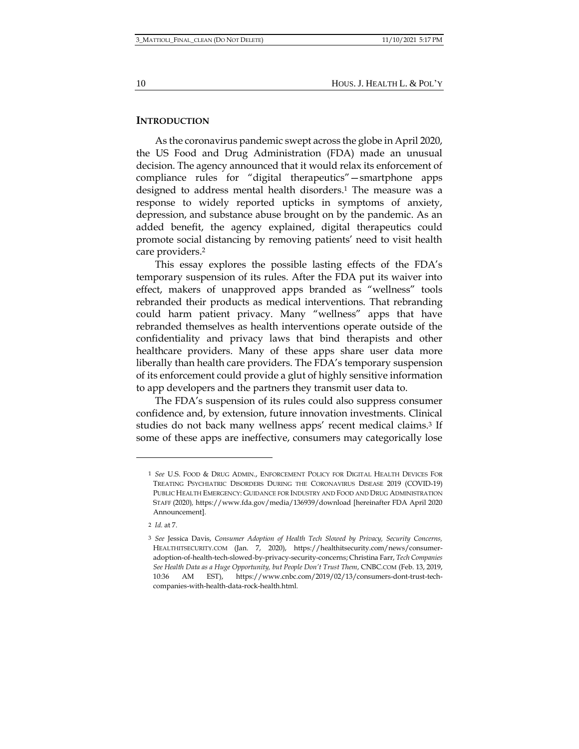#### **INTRODUCTION**

As the coronavirus pandemic swept across the globe in April 2020, the US Food and Drug Administration (FDA) made an unusual decision. The agency announced that it would relax its enforcement of compliance rules for "digital therapeutics"—smartphone apps designed to address mental health disorders.<sup>1</sup> The measure was a response to widely reported upticks in symptoms of anxiety, depression, and substance abuse brought on by the pandemic. As an added benefit, the agency explained, digital therapeutics could promote social distancing by removing patients' need to visit health care providers.<sup>2</sup>

This essay explores the possible lasting effects of the FDA's temporary suspension of its rules. After the FDA put its waiver into effect, makers of unapproved apps branded as "wellness" tools rebranded their products as medical interventions. That rebranding could harm patient privacy. Many "wellness" apps that have rebranded themselves as health interventions operate outside of the confidentiality and privacy laws that bind therapists and other healthcare providers. Many of these apps share user data more liberally than health care providers. The FDA's temporary suspension of its enforcement could provide a glut of highly sensitive information to app developers and the partners they transmit user data to.

The FDA's suspension of its rules could also suppress consumer confidence and, by extension, future innovation investments. Clinical studies do not back many wellness apps' recent medical claims.<sup>3</sup> If some of these apps are ineffective, consumers may categorically lose

<sup>1</sup> *See* U.S. FOOD & DRUG ADMIN., ENFORCEMENT POLICY FOR DIGITAL HEALTH DEVICES FOR TREATING PSYCHIATRIC DISORDERS DURING THE CORONAVIRUS DISEASE 2019 (COVID-19) PUBLIC HEALTH EMERGENCY: GUIDANCE FOR INDUSTRY AND FOOD AND DRUG ADMINISTRATION STAFF (2020)*,* https://www.fda.gov/media/136939/download [hereinafter FDA April 2020 Announcement].

<sup>2</sup> *Id.* at 7.

<sup>3</sup> *See* Jessica Davis, *Consumer Adoption of Health Tech Slowed by Privacy, Security Concerns,*  HEALTHITSECURITY.COM (Jan. 7, 2020), https://healthitsecurity.com/news/consumeradoption-of-health-tech-slowed-by-privacy-security-concerns; Christina Farr, *Tech Companies See Health Data as a Huge Opportunity, but People Don't Trust Them*, CNBC.COM (Feb. 13, 2019, 10:36 AM EST), https://www.cnbc.com/2019/02/13/consumers-dont-trust-techcompanies-with-health-data-rock-health.html.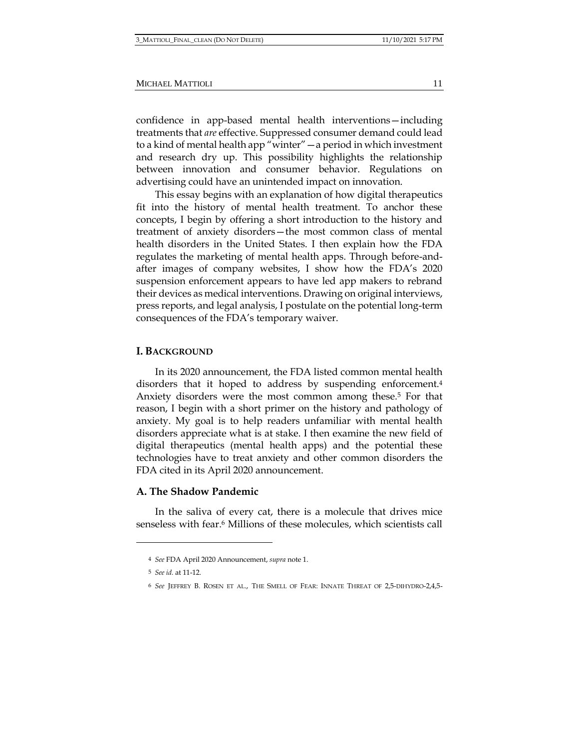confidence in app-based mental health interventions—including treatments that *are* effective. Suppressed consumer demand could lead to a kind of mental health app "winter"—a period in which investment and research dry up. This possibility highlights the relationship between innovation and consumer behavior. Regulations on advertising could have an unintended impact on innovation.

This essay begins with an explanation of how digital therapeutics fit into the history of mental health treatment. To anchor these concepts, I begin by offering a short introduction to the history and treatment of anxiety disorders—the most common class of mental health disorders in the United States. I then explain how the FDA regulates the marketing of mental health apps. Through before-andafter images of company websites, I show how the FDA's 2020 suspension enforcement appears to have led app makers to rebrand their devices as medical interventions. Drawing on original interviews, press reports, and legal analysis, I postulate on the potential long-term consequences of the FDA's temporary waiver.

#### **I. BACKGROUND**

In its 2020 announcement, the FDA listed common mental health disorders that it hoped to address by suspending enforcement.<sup>4</sup> Anxiety disorders were the most common among these.<sup>5</sup> For that reason, I begin with a short primer on the history and pathology of anxiety. My goal is to help readers unfamiliar with mental health disorders appreciate what is at stake. I then examine the new field of digital therapeutics (mental health apps) and the potential these technologies have to treat anxiety and other common disorders the FDA cited in its April 2020 announcement.

#### **A. The Shadow Pandemic**

In the saliva of every cat, there is a molecule that drives mice senseless with fear.<sup>6</sup> Millions of these molecules, which scientists call

<sup>4</sup> *See* FDA April 2020 Announcement, *supra* note 1.

<sup>5</sup> *See id.* at 11-12.

<sup>6</sup> *See* JEFFREY B. ROSEN ET AL., THE SMELL OF FEAR: INNATE THREAT OF 2,5-DIHYDRO-2,4,5-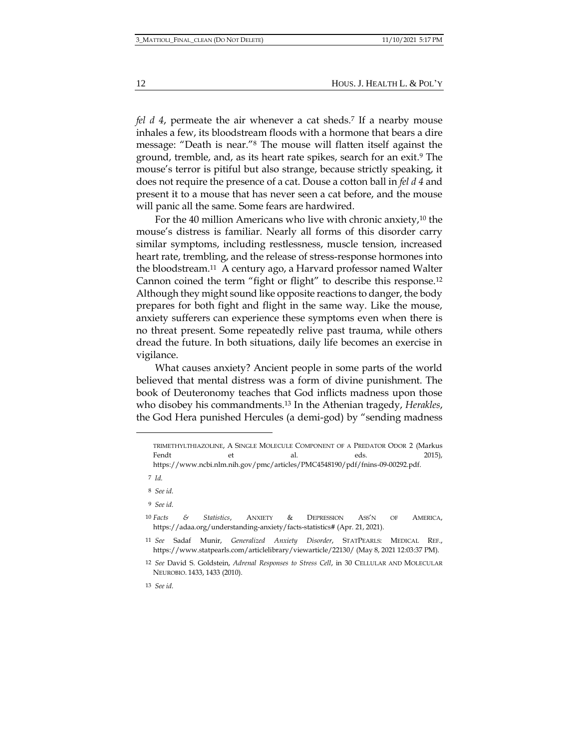*fel d 4*, permeate the air whenever a cat sheds.<sup>7</sup> If a nearby mouse inhales a few, its bloodstream floods with a hormone that bears a dire message: "Death is near."<sup>8</sup> The mouse will flatten itself against the ground, tremble, and, as its heart rate spikes, search for an exit.<sup>9</sup> The mouse's terror is pitiful but also strange, because strictly speaking, it does not require the presence of a cat. Douse a cotton ball in *fel d 4* and present it to a mouse that has never seen a cat before, and the mouse will panic all the same. Some fears are hardwired.

For the 40 million Americans who live with chronic anxiety, $10$  the mouse's distress is familiar. Nearly all forms of this disorder carry similar symptoms, including restlessness, muscle tension, increased heart rate, trembling, and the release of stress-response hormones into the bloodstream.11 A century ago, a Harvard professor named Walter Cannon coined the term "fight or flight" to describe this response.<sup>12</sup> Although they might sound like opposite reactions to danger, the body prepares for both fight and flight in the same way. Like the mouse, anxiety sufferers can experience these symptoms even when there is no threat present. Some repeatedly relive past trauma, while others dread the future. In both situations, daily life becomes an exercise in vigilance.

What causes anxiety? Ancient people in some parts of the world believed that mental distress was a form of divine punishment. The book of Deuteronomy teaches that God inflicts madness upon those who disobey his commandments.<sup>13</sup> In the Athenian tragedy, *Herakles*, the God Hera punished Hercules (a demi-god) by "sending madness

TRIMETHYLTHIAZOLINE, A SINGLE MOLECULE COMPONENT OF A PREDATOR ODOR 2 (Markus Fendt et et al. eds. 2015), https://www.ncbi.nlm.nih.gov/pmc/articles/PMC4548190/pdf/fnins-09-00292.pdf.

<sup>7</sup> *Id.*

<sup>8</sup> *See id.*

<sup>9</sup> *See id.*

<sup>10</sup> *Facts & Statistics*, ANXIETY & DEPRESSION ASS'N OF AMERICA, https://adaa.org/understanding-anxiety/facts-statistics# (Apr. 21, 2021).

<sup>11</sup> *See* Sadaf Munir, *Generalized Anxiety Disorder*, STATPEARLS: MEDICAL REF., https://www.statpearls.com/articlelibrary/viewarticle/22130/ (May 8, 2021 12:03:37 PM).

<sup>12</sup> *See* David S. Goldstein, *Adrenal Responses to Stress Cell*, in 30 CELLULAR AND MOLECULAR NEUROBIO. 1433, 1433 (2010).

<sup>13</sup> *See id.*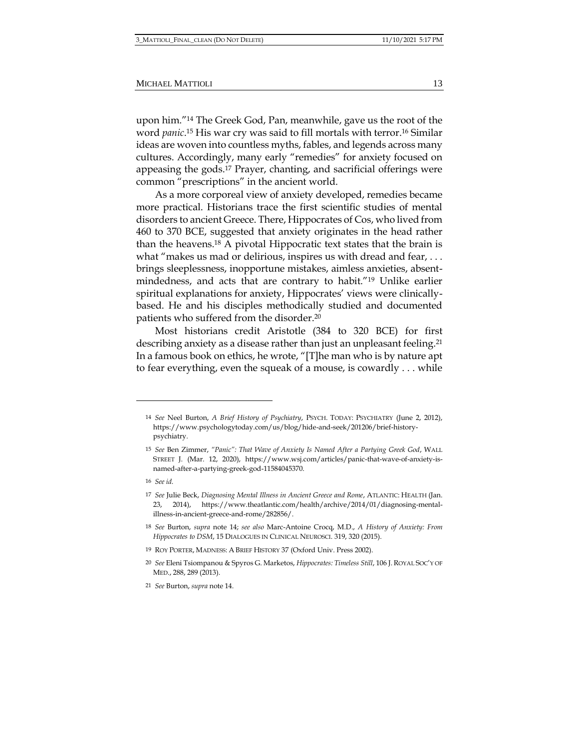upon him."<sup>14</sup> The Greek God, Pan, meanwhile, gave us the root of the word *panic*. <sup>15</sup> His war cry was said to fill mortals with terror.<sup>16</sup> Similar ideas are woven into countless myths, fables, and legends across many cultures. Accordingly, many early "remedies" for anxiety focused on appeasing the gods.<sup>17</sup> Prayer, chanting, and sacrificial offerings were common "prescriptions" in the ancient world.

As a more corporeal view of anxiety developed, remedies became more practical. Historians trace the first scientific studies of mental disorders to ancient Greece. There, Hippocrates of Cos, who lived from 460 to 370 BCE, suggested that anxiety originates in the head rather than the heavens.<sup>18</sup> A pivotal Hippocratic text states that the brain is what "makes us mad or delirious, inspires us with dread and fear, ... brings sleeplessness, inopportune mistakes, aimless anxieties, absentmindedness, and acts that are contrary to habit."<sup>19</sup> Unlike earlier spiritual explanations for anxiety, Hippocrates' views were clinicallybased. He and his disciples methodically studied and documented patients who suffered from the disorder.<sup>20</sup>

Most historians credit Aristotle (384 to 320 BCE) for first describing anxiety as a disease rather than just an unpleasant feeling.<sup>21</sup> In a famous book on ethics, he wrote, "[T]he man who is by nature apt to fear everything, even the squeak of a mouse, is cowardly . . . while

<sup>14</sup> *See* Neel Burton, *A Brief History of Psychiatry*, PSYCH. TODAY: PSYCHIATRY (June 2, 2012), https://www.psychologytoday.com/us/blog/hide-and-seek/201206/brief-historypsychiatry.

<sup>15</sup> *See* Ben Zimmer, *"Panic": That Wave of Anxiety Is Named After a Partying Greek God*, WALL STREET J. (Mar. 12, 2020), https://www.wsj.com/articles/panic-that-wave-of-anxiety-isnamed-after-a-partying-greek-god-11584045370.

<sup>16</sup> *See id.* 

<sup>17</sup> *See* Julie Beck, *Diagnosing Mental Illness in Ancient Greece and Rome*, ATLANTIC: HEALTH (Jan. 23, 2014), https://www.theatlantic.com/health/archive/2014/01/diagnosing-mentalillness-in-ancient-greece-and-rome/282856/.

<sup>18</sup> *See* Burton, *supra* note 14; *see also* Marc-Antoine Crocq, M.D., *A History of Anxiety: From Hippocrates to DSM*, 15 DIALOGUES IN CLINICAL NEUROSCI. 319, 320 (2015).

<sup>19</sup> ROY PORTER, MADNESS: A BRIEF HISTORY 37 (Oxford Univ. Press 2002).

<sup>20</sup> *See* Eleni Tsiompanou & Spyros G. Marketos, *Hippocrates: Timeless Still*, 106 J.ROYAL SOC'Y OF MED., 288, 289 (2013).

<sup>21</sup> *See* Burton, *supra* note 14.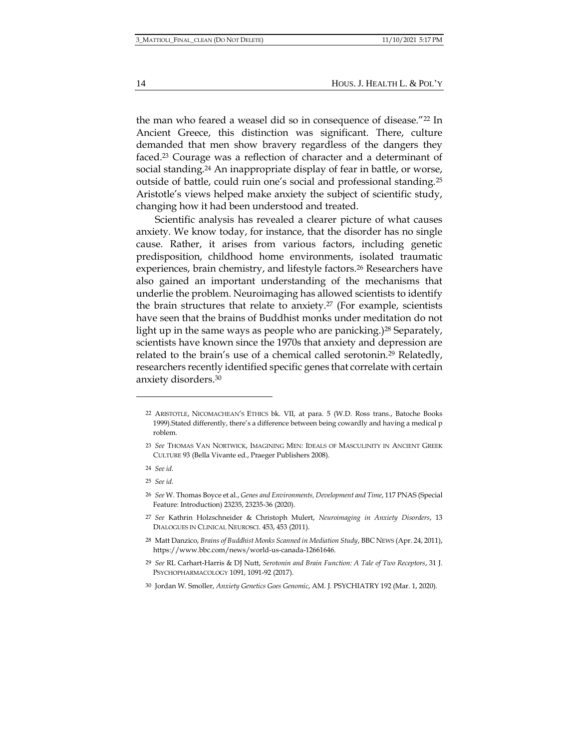the man who feared a weasel did so in consequence of disease."<sup>22</sup> In Ancient Greece, this distinction was significant. There, culture demanded that men show bravery regardless of the dangers they faced.<sup>23</sup> Courage was a reflection of character and a determinant of social standing.<sup>24</sup> An inappropriate display of fear in battle, or worse, outside of battle, could ruin one's social and professional standing.<sup>25</sup> Aristotle's views helped make anxiety the subject of scientific study, changing how it had been understood and treated.

Scientific analysis has revealed a clearer picture of what causes anxiety. We know today, for instance, that the disorder has no single cause. Rather, it arises from various factors, including genetic predisposition, childhood home environments, isolated traumatic experiences, brain chemistry, and lifestyle factors.<sup>26</sup> Researchers have also gained an important understanding of the mechanisms that underlie the problem. Neuroimaging has allowed scientists to identify the brain structures that relate to anxiety.<sup>27</sup> (For example, scientists have seen that the brains of Buddhist monks under meditation do not light up in the same ways as people who are panicking.)<sup>28</sup> Separately, scientists have known since the 1970s that anxiety and depression are related to the brain's use of a chemical called serotonin.<sup>29</sup> Relatedly, researchers recently identified specific genes that correlate with certain anxiety disorders.<sup>30</sup>

25 *See id.*

14 HOUS. J. HEALTH L. & POL'Y

<sup>22</sup> ARISTOTLE, NICOMACHEAN'S ETHICS bk. VII, at para. 5 (W.D. Ross trans., Batoche Books 1999).Stated differently, there's a difference between being cowardly and having a medical p roblem.

<sup>23</sup> *See* THOMAS VAN NORTWICK, IMAGINING MEN: IDEALS OF MASCULINITY IN ANCIENT GREEK CULTURE 93 (Bella Vivante ed., Praeger Publishers 2008).

<sup>24</sup> *See id.*

<sup>26</sup> *See* W. Thomas Boyce et al., *Genes and Environments, Development and Time*, 117 PNAS (Special Feature: Introduction) 23235, 23235-36 (2020).

<sup>27</sup> *See* Kathrin Holzschneider & Christoph Mulert, *Neuroimaging in Anxiety Disorders*, 13 DIALOGUES IN CLINICAL NEUROSCI. 453, 453 (2011).

<sup>28</sup> Matt Danzico, *Brains of Buddhist Monks Scanned in Mediation Study*, BBC NEWS (Apr. 24, 2011), https://www.bbc.com/news/world-us-canada-12661646.

<sup>29</sup> *See* RL Carhart-Harris & DJ Nutt, *Serotonin and Brain Function: A Tale of Two Receptors*, 31 J. PSYCHOPHARMACOLOGY 1091, 1091-92 (2017).

<sup>30</sup> Jordan W. Smoller, *Anxiety Genetics Goes Genomic*, AM. J. PSYCHIATRY 192 (Mar. 1, 2020).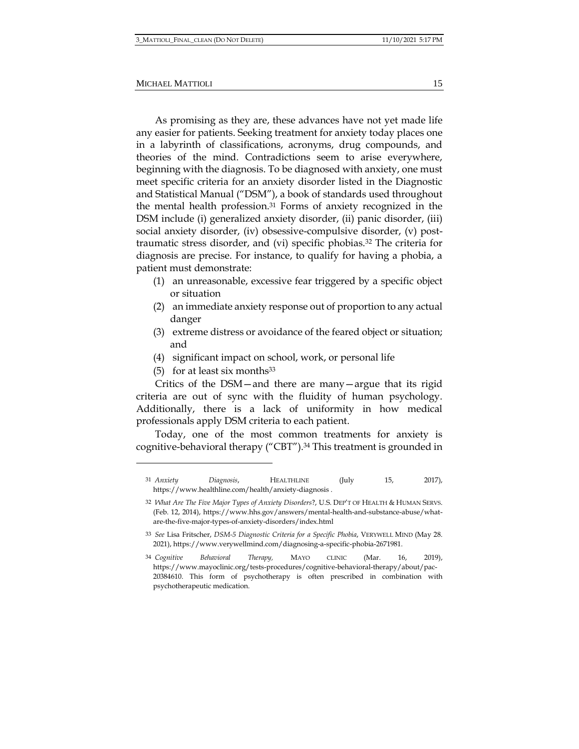As promising as they are, these advances have not yet made life any easier for patients. Seeking treatment for anxiety today places one in a labyrinth of classifications, acronyms, drug compounds, and theories of the mind. Contradictions seem to arise everywhere, beginning with the diagnosis. To be diagnosed with anxiety, one must meet specific criteria for an anxiety disorder listed in the Diagnostic and Statistical Manual ("DSM"), a book of standards used throughout the mental health profession.<sup>31</sup> Forms of anxiety recognized in the DSM include (i) generalized anxiety disorder, (ii) panic disorder, (iii) social anxiety disorder, (iv) obsessive-compulsive disorder, (v) posttraumatic stress disorder, and (vi) specific phobias.<sup>32</sup> The criteria for diagnosis are precise. For instance, to qualify for having a phobia, a patient must demonstrate:

- (1) an unreasonable, excessive fear triggered by a specific object or situation
- (2) an immediate anxiety response out of proportion to any actual danger
- (3) extreme distress or avoidance of the feared object or situation; and
- (4) significant impact on school, work, or personal life
- (5) for at least six months $33$

Critics of the DSM—and there are many—argue that its rigid criteria are out of sync with the fluidity of human psychology. Additionally, there is a lack of uniformity in how medical professionals apply DSM criteria to each patient.

Today, one of the most common treatments for anxiety is cognitive-behavioral therapy ("CBT").<sup>34</sup> This treatment is grounded in

<sup>31</sup> *Anxiety Diagnosis*, HEALTHLINE (July 15, 2017), https://www.healthline.com/health/anxiety-diagnosis .

<sup>32</sup> *What Are The Five Major Types of Anxiety Disorders*?, U.S. DEP'T OF HEALTH & HUMAN SERVS. (Feb. 12, 2014), https://www.hhs.gov/answers/mental-health-and-substance-abuse/whatare-the-five-major-types-of-anxiety-disorders/index.html

<sup>33</sup> *See* Lisa Fritscher, *DSM-5 Diagnostic Criteria for a Specific Phobia*, VERYWELL MIND (May 28. 2021), https://www.verywellmind.com/diagnosing-a-specific-phobia-2671981.

<sup>34</sup> *Cognitive Behavioral Therapy,* MAYO CLINIC (Mar. 16, 2019), https://www.mayoclinic.org/tests-procedures/cognitive-behavioral-therapy/about/pac-20384610. This form of psychotherapy is often prescribed in combination with psychotherapeutic medication.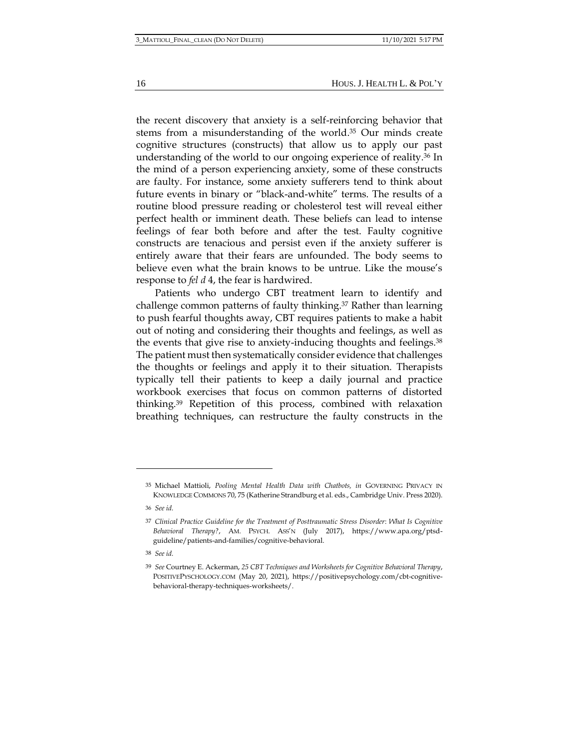16 HOUS. J. HEALTH L. & POL'Y

the recent discovery that anxiety is a self-reinforcing behavior that stems from a misunderstanding of the world. <sup>35</sup> Our minds create cognitive structures (constructs) that allow us to apply our past understanding of the world to our ongoing experience of reality.<sup>36</sup> In the mind of a person experiencing anxiety, some of these constructs are faulty. For instance, some anxiety sufferers tend to think about future events in binary or "black-and-white" terms. The results of a routine blood pressure reading or cholesterol test will reveal either perfect health or imminent death. These beliefs can lead to intense feelings of fear both before and after the test. Faulty cognitive constructs are tenacious and persist even if the anxiety sufferer is entirely aware that their fears are unfounded. The body seems to believe even what the brain knows to be untrue. Like the mouse's response to *fel d* 4, the fear is hardwired.

Patients who undergo CBT treatment learn to identify and challenge common patterns of faulty thinking.<sup>37</sup> Rather than learning to push fearful thoughts away, CBT requires patients to make a habit out of noting and considering their thoughts and feelings, as well as the events that give rise to anxiety-inducing thoughts and feelings.<sup>38</sup> The patient must then systematically consider evidence that challenges the thoughts or feelings and apply it to their situation. Therapists typically tell their patients to keep a daily journal and practice workbook exercises that focus on common patterns of distorted thinking.<sup>39</sup> Repetition of this process, combined with relaxation breathing techniques, can restructure the faulty constructs in the

<sup>35</sup> Michael Mattioli, *Pooling Mental Health Data with Chatbots, in* GOVERNING PRIVACY IN KNOWLEDGE COMMONS 70, 75 (Katherine Strandburg et al. eds., Cambridge Univ. Press 2020).

<sup>36</sup> *See id.*

<sup>37</sup> *Clinical Practice Guideline for the Treatment of Posttraumatic Stress Disorder*: *What Is Cognitive Behavioral Therapy?*, AM. PSYCH. ASS'N (July 2017), https://www.apa.org/ptsdguideline/patients-and-families/cognitive-behavioral.

<sup>38</sup> *See id.*

<sup>39</sup> *See* Courtney E. Ackerman, *25 CBT Techniques and Worksheets for Cognitive Behavioral Therapy*, POSITIVEPYSCHOLOGY.COM (May 20, 2021), https://positivepsychology.com/cbt-cognitivebehavioral-therapy-techniques-worksheets/.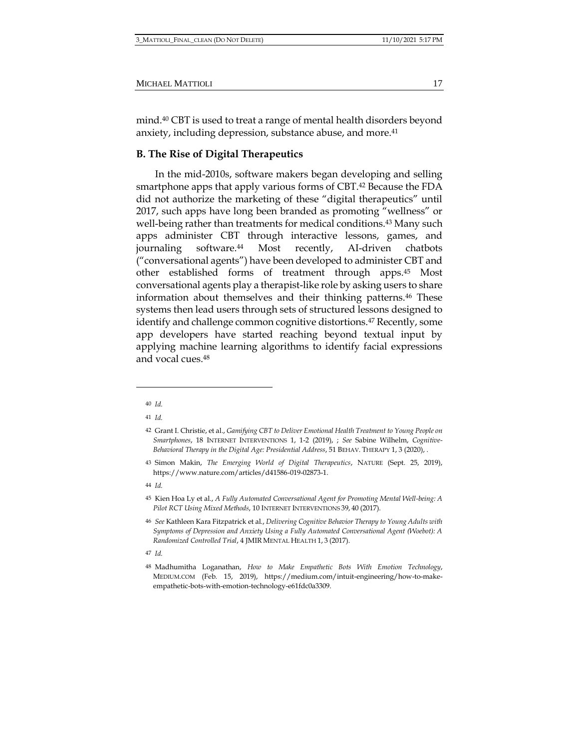mind.<sup>40</sup> CBT is used to treat a range of mental health disorders beyond anxiety, including depression, substance abuse, and more.<sup>41</sup>

### **B. The Rise of Digital Therapeutics**

In the mid-2010s, software makers began developing and selling smartphone apps that apply various forms of CBT.<sup>42</sup> Because the FDA did not authorize the marketing of these "digital therapeutics" until 2017, such apps have long been branded as promoting "wellness" or well-being rather than treatments for medical conditions.<sup>43</sup> Many such apps administer CBT through interactive lessons, games, and journaling software.<sup>44</sup> Most recently, AI-driven chatbots ("conversational agents") have been developed to administer CBT and other established forms of treatment through apps.<sup>45</sup> Most conversational agents play a therapist-like role by asking users to share information about themselves and their thinking patterns.<sup>46</sup> These systems then lead users through sets of structured lessons designed to identify and challenge common cognitive distortions.<sup>47</sup> Recently, some app developers have started reaching beyond textual input by applying machine learning algorithms to identify facial expressions and vocal cues.<sup>48</sup>

44 *Id.*

<sup>40</sup> *Id.*

<sup>41</sup> *Id.*

<sup>42</sup> Grant I. Christie, et al., *Gamifying CBT to Deliver Emotional Health Treatment to Young People on Smartphones*, 18 INTERNET INTERVENTIONS 1, 1-2 (2019), ; *See* Sabine Wilhelm, *Cognitive-Behavioral Therapy in the Digital Age: Presidential Address*, 51 BEHAV. THERAPY 1, 3 (2020), .

<sup>43</sup> Simon Makin, *The Emerging World of Digital Therapeutics*, NATURE (Sept. 25, 2019), https://www.nature.com/articles/d41586-019-02873-1.

<sup>45</sup> Kien Hoa Ly et al., *A Fully Automated Conversational Agent for Promoting Mental Well-being: A Pilot RCT Using Mixed Methods*, 10 INTERNET INTERVENTIONS 39, 40 (2017).

<sup>46</sup> *See* Kathleen Kara Fitzpatrick et al., *Delivering Cognitive Behavior Therapy to Young Adults with Symptoms of Depression and Anxiety Using a Fully Automated Conversational Agent (Woebot): A Randomized Controlled Trial*, 4 JMIR MENTAL HEALTH 1, 3 (2017).

<sup>47</sup> *Id.*

<sup>48</sup> Madhumitha Loganathan, *How to Make Empathetic Bots With Emotion Technology*, MEDIUM.COM (Feb. 15, 2019), https://medium.com/intuit-engineering/how-to-makeempathetic-bots-with-emotion-technology-e61fdc0a3309.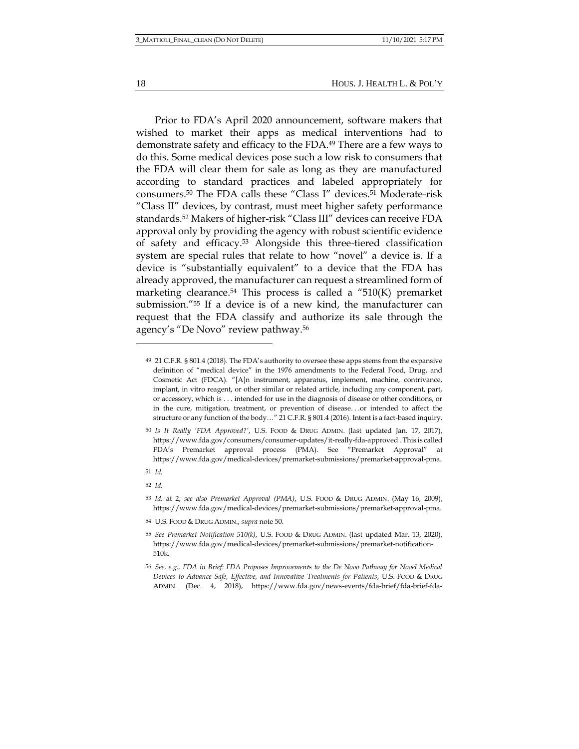18 HOUS. J. HEALTH L. & POL'Y

Prior to FDA's April 2020 announcement, software makers that wished to market their apps as medical interventions had to demonstrate safety and efficacy to the FDA.<sup>49</sup> There are a few ways to do this. Some medical devices pose such a low risk to consumers that the FDA will clear them for sale as long as they are manufactured according to standard practices and labeled appropriately for consumers.<sup>50</sup> The FDA calls these "Class I" devices.<sup>51</sup> Moderate-risk "Class II" devices, by contrast, must meet higher safety performance standards.<sup>52</sup> Makers of higher-risk "Class III" devices can receive FDA approval only by providing the agency with robust scientific evidence of safety and efficacy.<sup>53</sup> Alongside this three-tiered classification system are special rules that relate to how "novel" a device is. If a device is "substantially equivalent" to a device that the FDA has already approved, the manufacturer can request a streamlined form of marketing clearance.<sup>54</sup> This process is called a "510 $(K)$  premarket submission."<sup>55</sup> If a device is of a new kind, the manufacturer can request that the FDA classify and authorize its sale through the agency's "De Novo" review pathway.<sup>56</sup>

- 51 *Id.*
- 52 *Id.*

54 U.S. FOOD & DRUG ADMIN., *supra* note 50.

<sup>49</sup> 21 C.F.R. § 801.4 (2018). The FDA's authority to oversee these apps stems from the expansive definition of "medical device" in the 1976 amendments to the Federal Food, Drug, and Cosmetic Act (FDCA). "[A]n instrument, apparatus, implement, machine, contrivance, implant, in vitro reagent, or other similar or related article, including any component, part, or accessory, which is . . . intended for use in the diagnosis of disease or other conditions, or in the cure, mitigation, treatment, or prevention of disease. . .or intended to affect the structure or any function of the body…" 21 C.F.R. § 801.4 (2016). Intent is a fact-based inquiry.

<sup>50</sup> *Is It Really 'FDA Approved?'*, U.S. FOOD & DRUG ADMIN. (last updated Jan. 17, 2017), https://www.fda.gov/consumers/consumer-updates/it-really-fda-approved . This is called FDA's Premarket approval process (PMA). See "Premarket Approval" at https://www.fda.gov/medical-devices/premarket-submissions/premarket-approval-pma.

<sup>53</sup> *Id.* at 2; *see also Premarket Approval (PMA)*, U.S. FOOD & DRUG ADMIN. (May 16, 2009), https://www.fda.gov/medical-devices/premarket-submissions/premarket-approval-pma.

<sup>55</sup> *See Premarket Notification 510(k)*, U.S. FOOD & DRUG ADMIN. (last updated Mar. 13, 2020), https://www.fda.gov/medical-devices/premarket-submissions/premarket-notification-510k.

<sup>56</sup> *See, e.g., FDA in Brief: FDA Proposes Improvements to the De Novo Pathway for Novel Medical Devices to Advance Safe, Effective, and Innovative Treatments for Patients*, U.S. FOOD & DRUG ADMIN. (Dec. 4, 2018), https://www.fda.gov/news-events/fda-brief/fda-brief-fda-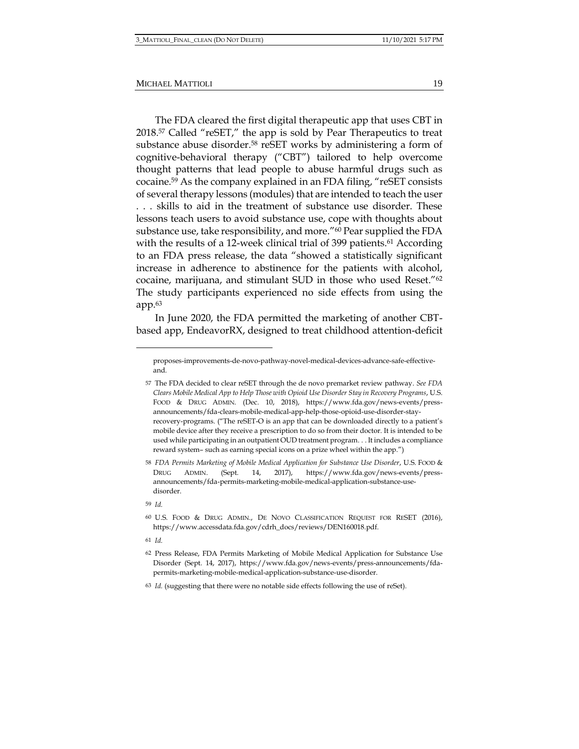The FDA cleared the first digital therapeutic app that uses CBT in 2018.<sup>57</sup> Called "reSET," the app is sold by Pear Therapeutics to treat substance abuse disorder.<sup>58</sup> reSET works by administering a form of cognitive-behavioral therapy ("CBT") tailored to help overcome thought patterns that lead people to abuse harmful drugs such as cocaine.<sup>59</sup> As the company explained in an FDA filing, "reSET consists of several therapy lessons (modules) that are intended to teach the user . . . skills to aid in the treatment of substance use disorder. These lessons teach users to avoid substance use, cope with thoughts about substance use, take responsibility, and more."<sup>60</sup> Pear supplied the FDA with the results of a 12-week clinical trial of 399 patients.<sup>61</sup> According to an FDA press release, the data "showed a statistically significant increase in adherence to abstinence for the patients with alcohol, cocaine, marijuana, and stimulant SUD in those who used Reset."<sup>62</sup> The study participants experienced no side effects from using the app.<sup>63</sup>

In June 2020, the FDA permitted the marketing of another CBTbased app, EndeavorRX, designed to treat childhood attention-deficit

proposes-improvements-de-novo-pathway-novel-medical-devices-advance-safe-effectiveand.

<sup>57</sup> The FDA decided to clear reSET through the de novo premarket review pathway. *See FDA Clears Mobile Medical App to Help Those with Opioid Use Disorder Stay in Recovery Programs*, U.S. FOOD & DRUG ADMIN. (Dec. 10, 2018), https://www.fda.gov/news-events/pressannouncements/fda-clears-mobile-medical-app-help-those-opioid-use-disorder-stayrecovery-programs. ("The reSET-O is an app that can be downloaded directly to a patient's mobile device after they receive a prescription to do so from their doctor. It is intended to be used while participating in an outpatient OUD treatment program. . . It includes a compliance reward system– such as earning special icons on a prize wheel within the app.")

<sup>58</sup> *FDA Permits Marketing of Mobile Medical Application for Substance Use Disorder*, U.S. FOOD & DRUG ADMIN. (Sept. 14, 2017), https://www.fda.gov/news-events/pressannouncements/fda-permits-marketing-mobile-medical-application-substance-usedisorder.

<sup>59</sup> *Id.*

<sup>60</sup> U.S. FOOD & DRUG ADMIN., DE NOVO CLASSIFICATION REQUEST FOR RESET (2016), https://www.accessdata.fda.gov/cdrh\_docs/reviews/DEN160018.pdf.

<sup>61</sup> *Id.*

<sup>62</sup> Press Release, FDA Permits Marketing of Mobile Medical Application for Substance Use Disorder (Sept. 14, 2017), https://www.fda.gov/news-events/press-announcements/fdapermits-marketing-mobile-medical-application-substance-use-disorder.

<sup>63</sup> *Id.* (suggesting that there were no notable side effects following the use of reSet).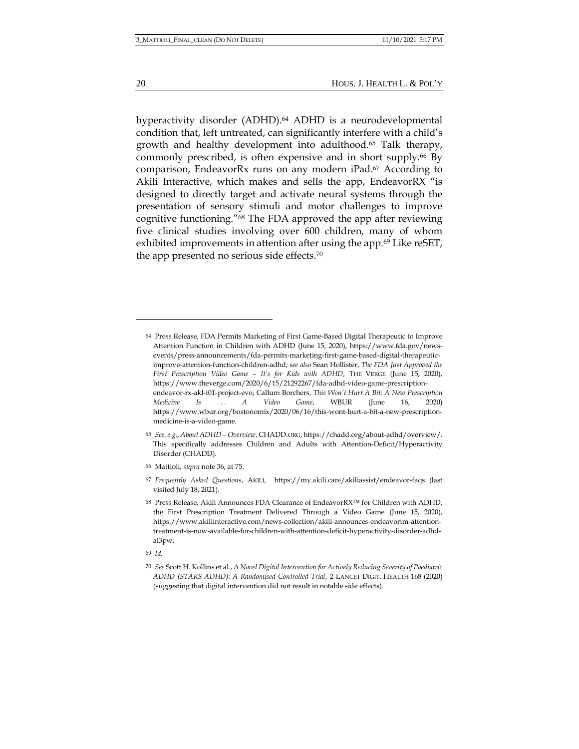hyperactivity disorder (ADHD).<sup>64</sup> ADHD is a neurodevelopmental condition that, left untreated, can significantly interfere with a child's growth and healthy development into adulthood.<sup>65</sup> Talk therapy, commonly prescribed, is often expensive and in short supply.<sup>66</sup> By comparison, EndeavorRx runs on any modern iPad.<sup>67</sup> According to Akili Interactive, which makes and sells the app, EndeavorRX "is designed to directly target and activate neural systems through the presentation of sensory stimuli and motor challenges to improve cognitive functioning."<sup>68</sup> The FDA approved the app after reviewing five clinical studies involving over 600 children, many of whom exhibited improvements in attention after using the app.<sup>69</sup> Like reSET, the app presented no serious side effects.<sup>70</sup>

<sup>64</sup> Press Release, FDA Permits Marketing of First Game-Based Digital Therapeutic to Improve Attention Function in Children with ADHD (June 15, 2020), https://www.fda.gov/newsevents/press-announcements/fda-permits-marketing-first-game-based-digital-therapeuticimprove-attention-function-children-adhd; *see also* Sean Hollister, *The FDA Just Approved the First Prescription Video Game – It's for Kids with ADHD*, THE VERGE (June 15, 2020), https://www.theverge.com/2020/6/15/21292267/fda-adhd-video-game-prescriptionendeavor-rx-akl-t01-project-evo; Callum Borchers, *This Won't Hurt A Bit: A New Prescription Medicine Is . . . A Video Game*, WBUR (June 16, 2020) https://www.wbur.org/bostonomix/2020/06/16/this-wont-hurt-a-bit-a-new-prescriptionmedicine-is-a-video-game.

<sup>65</sup> *See, e.g.*, *About ADHD – Overview*, CHADD.ORG, https://chadd.org/about-adhd/overview/. This specifically addresses Children and Adults with Attention-Deficit/Hyperactivity Disorder (CHADD).

<sup>66</sup> Mattioli, *supra* note 36, at 75.

<sup>67</sup> *Frequently Asked Questions*, AKILI*,* https://my.akili.care/akiliassist/endeavor-faqs (last visited July 18, 2021).

<sup>68</sup> Press Release, Akili Announces FDA Clearance of EndeavorRX™ for Children with ADHD, the First Prescription Treatment Delivered Through a Video Game (June 15, 2020), https://www.akiliinteractive.com/news-collection/akili-announces-endeavortm-attentiontreatment-is-now-available-for-children-with-attention-deficit-hyperactivity-disorder-adhdal3pw.

<sup>69</sup> *Id.*

<sup>70</sup> *See* Scott H. Kollins et al., *A Novel Digital Intervention for Actively Reducing Severity of Paediatric ADHD (STARS-ADHD): A Randomised Controlled Trial*, 2 LANCET DIGIT. HEALTH 168 (2020) (suggesting that digital intervention did not result in notable side effects).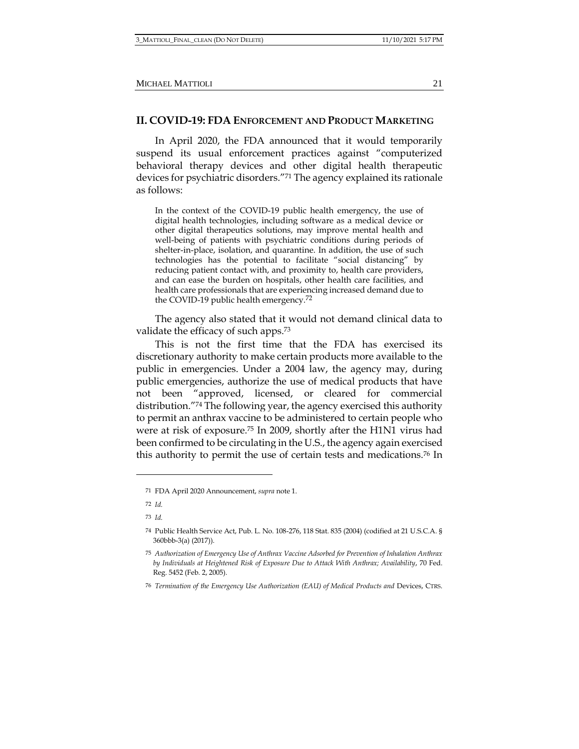### **II. COVID-19: FDA ENFORCEMENT AND PRODUCT MARKETING**

In April 2020, the FDA announced that it would temporarily suspend its usual enforcement practices against "computerized behavioral therapy devices and other digital health therapeutic devices for psychiatric disorders."<sup>71</sup> The agency explained its rationale as follows:

In the context of the COVID-19 public health emergency, the use of digital health technologies, including software as a medical device or other digital therapeutics solutions, may improve mental health and well-being of patients with psychiatric conditions during periods of shelter-in-place, isolation, and quarantine. In addition, the use of such technologies has the potential to facilitate "social distancing" by reducing patient contact with, and proximity to, health care providers, and can ease the burden on hospitals, other health care facilities, and health care professionals that are experiencing increased demand due to the COVID-19 public health emergency.<sup>72</sup>

The agency also stated that it would not demand clinical data to validate the efficacy of such apps.<sup>73</sup>

This is not the first time that the FDA has exercised its discretionary authority to make certain products more available to the public in emergencies. Under a 2004 law, the agency may, during public emergencies, authorize the use of medical products that have not been "approved, licensed, or cleared for commercial distribution."<sup>74</sup> The following year, the agency exercised this authority to permit an anthrax vaccine to be administered to certain people who were at risk of exposure.<sup>75</sup> In 2009, shortly after the H1N1 virus had been confirmed to be circulating in the U.S., the agency again exercised this authority to permit the use of certain tests and medications.<sup>76</sup> In

<sup>71</sup> FDA April 2020 Announcement, *supra* note 1.

<sup>72</sup> *Id.*

<sup>73</sup> *Id.*

<sup>74</sup> Public Health Service Act, Pub. L. No. 108-276, 118 Stat. 835 (2004) (codified at 21 U.S.C.A. § 360bbb-3(a) (2017)).

<sup>75</sup> *Authorization of Emergency Use of Anthrax Vaccine Adsorbed for Prevention of Inhalation Anthrax by Individuals at Heightened Risk of Exposure Due to Attack With Anthrax; Availability*, 70 Fed. Reg. 5452 (Feb. 2, 2005).

<sup>76</sup> *Termination of the Emergency Use Authorization (EAU) of Medical Products and* Devices, CTRS.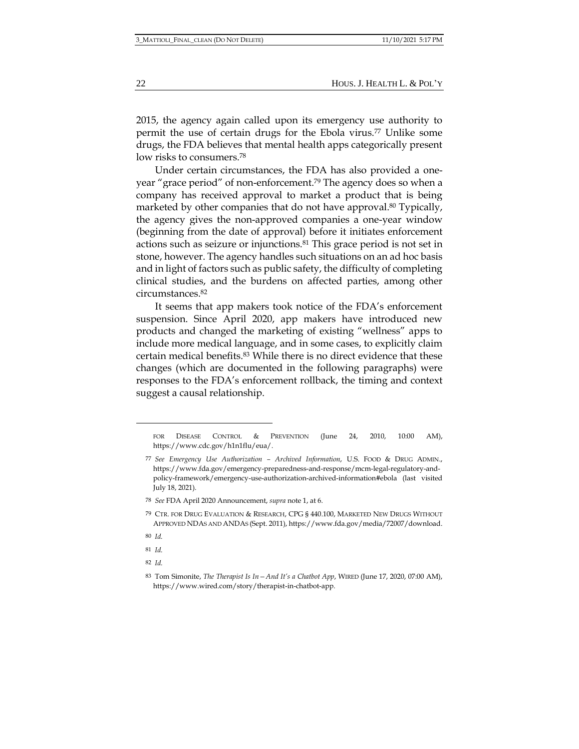2015, the agency again called upon its emergency use authority to permit the use of certain drugs for the Ebola virus.<sup>77</sup> Unlike some drugs, the FDA believes that mental health apps categorically present low risks to consumers.<sup>78</sup>

Under certain circumstances, the FDA has also provided a oneyear "grace period" of non-enforcement.<sup>79</sup> The agency does so when a company has received approval to market a product that is being marketed by other companies that do not have approval.<sup>80</sup> Typically, the agency gives the non-approved companies a one-year window (beginning from the date of approval) before it initiates enforcement actions such as seizure or injunctions.<sup>81</sup> This grace period is not set in stone, however. The agency handles such situations on an ad hoc basis and in light of factors such as public safety, the difficulty of completing clinical studies, and the burdens on affected parties, among other circumstances.<sup>82</sup>

It seems that app makers took notice of the FDA's enforcement suspension. Since April 2020, app makers have introduced new products and changed the marketing of existing "wellness" apps to include more medical language, and in some cases, to explicitly claim certain medical benefits.<sup>83</sup> While there is no direct evidence that these changes (which are documented in the following paragraphs) were responses to the FDA's enforcement rollback, the timing and context suggest a causal relationship.

- 81 *Id.*
- 82 *Id.*

FOR DISEASE CONTROL & PREVENTION (June 24, 2010, 10:00 AM), https://www.cdc.gov/h1n1flu/eua/.

<sup>77</sup> *See Emergency Use Authorization – Archived Information*, U.S. FOOD & DRUG ADMIN., https://www.fda.gov/emergency-preparedness-and-response/mcm-legal-regulatory-andpolicy-framework/emergency-use-authorization-archived-information#ebola (last visited July 18, 2021).

<sup>78</sup> *See* FDA April 2020 Announcement, *supra* note 1, at 6.

<sup>79</sup> CTR. FOR DRUG EVALUATION & RESEARCH, CPG § 440.100, MARKETED NEW DRUGS WITHOUT APPROVED NDAS AND ANDAS (Sept. 2011), https://www.fda.gov/media/72007/download.

<sup>80</sup> *Id.*

<sup>83</sup> Tom Simonite, *The Therapist Is In—And It's a Chatbot App*, WIRED (June 17, 2020, 07:00 AM), https://www.wired.com/story/therapist-in-chatbot-app.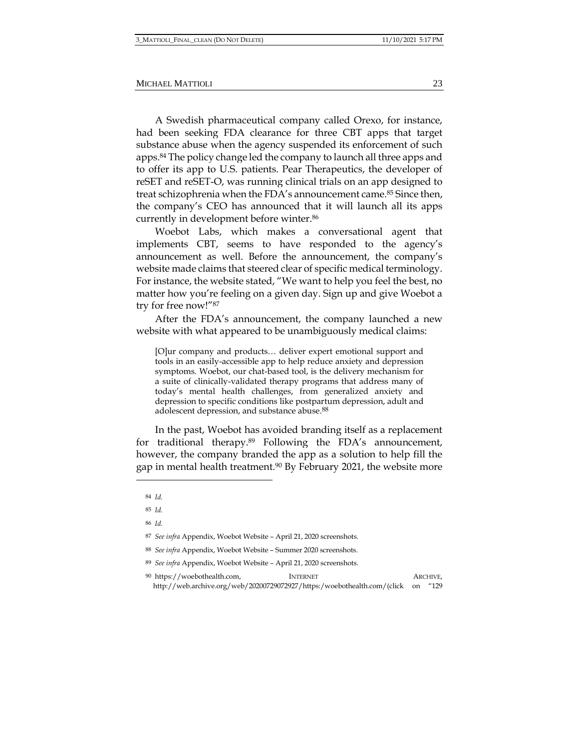A Swedish pharmaceutical company called Orexo, for instance, had been seeking FDA clearance for three CBT apps that target substance abuse when the agency suspended its enforcement of such apps.<sup>84</sup> The policy change led the company to launch all three apps and to offer its app to U.S. patients. Pear Therapeutics, the developer of reSET and reSET-O, was running clinical trials on an app designed to treat schizophrenia when the FDA's announcement came.<sup>85</sup> Since then, the company's CEO has announced that it will launch all its apps currently in development before winter.<sup>86</sup>

Woebot Labs, which makes a conversational agent that implements CBT, seems to have responded to the agency's announcement as well. Before the announcement, the company's website made claims that steered clear of specific medical terminology. For instance, the website stated, "We want to help you feel the best, no matter how you're feeling on a given day. Sign up and give Woebot a try for free now!"<sup>87</sup>

After the FDA's announcement, the company launched a new website with what appeared to be unambiguously medical claims:

[O]ur company and products… deliver expert emotional support and tools in an easily-accessible app to help reduce anxiety and depression symptoms. Woebot, our chat-based tool, is the delivery mechanism for a suite of clinically-validated therapy programs that address many of today's mental health challenges, from generalized anxiety and depression to specific conditions like postpartum depression, adult and adolescent depression, and substance abuse.<sup>88</sup>

In the past, Woebot has avoided branding itself as a replacement for traditional therapy.<sup>89</sup> Following the FDA's announcement, however, the company branded the app as a solution to help fill the gap in mental health treatment.<sup>90</sup> By February 2021, the website more

<sup>84</sup> *Id.*

<sup>85</sup> *Id.*

<sup>86</sup> *Id.*

<sup>87</sup> *See infra* Appendix, Woebot Website – April 21, 2020 screenshots.

<sup>88</sup> *See infra* Appendix, Woebot Website – Summer 2020 screenshots.

<sup>89</sup> *See infra* Appendix, Woebot Website – April 21, 2020 screenshots.

<sup>90</sup> https://woebothealth.com, INTERNET ARCHIVE, http://web.archive.org/web/20200729072927/https:/woebothealth.com/(click on "129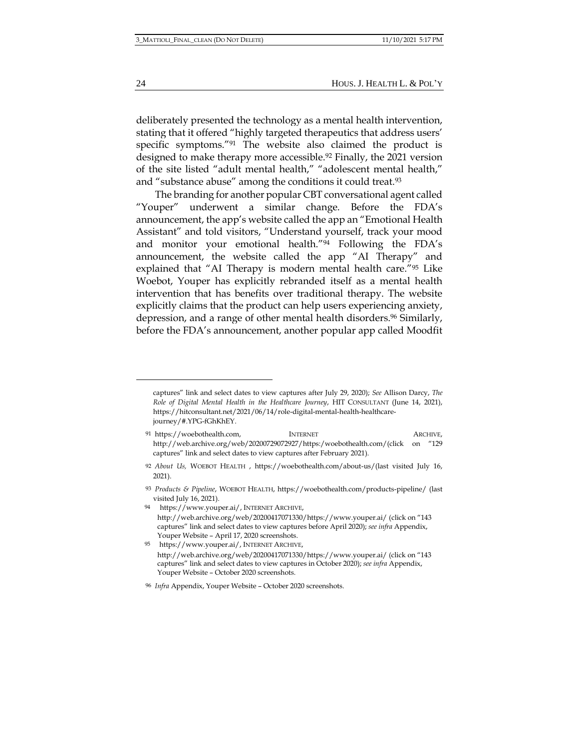24 HOUS. J. HEALTH L. & POL'Y

deliberately presented the technology as a mental health intervention, stating that it offered "highly targeted therapeutics that address users' specific symptoms."<sup>91</sup> The website also claimed the product is designed to make therapy more accessible.<sup>92</sup> Finally, the 2021 version of the site listed "adult mental health," "adolescent mental health," and "substance abuse" among the conditions it could treat.<sup>93</sup>

The branding for another popular CBT conversational agent called "Youper" underwent a similar change. Before the FDA's announcement, the app's website called the app an "Emotional Health Assistant" and told visitors, "Understand yourself, track your mood and monitor your emotional health."<sup>94</sup> Following the FDA's announcement, the website called the app "AI Therapy" and explained that "AI Therapy is modern mental health care."<sup>95</sup> Like Woebot, Youper has explicitly rebranded itself as a mental health intervention that has benefits over traditional therapy. The website explicitly claims that the product can help users experiencing anxiety, depression, and a range of other mental health disorders.<sup>96</sup> Similarly, before the FDA's announcement, another popular app called Moodfit

captures" link and select dates to view captures after July 29, 2020); *See* Allison Darcy, *The Role of Digital Mental Health in the Healthcare Journey*, HIT CONSULTANT (June 14, 2021), https://hitconsultant.net/2021/06/14/role-digital-mental-health-healthcarejourney/#.YPG-fGhKhEY.

<sup>91</sup> https://woebothealth.com, INTERNET ARCHIVE, http://web.archive.org/web/20200729072927/https:/woebothealth.com/(click on "129 captures" link and select dates to view captures after February 2021).

<sup>92</sup> *About Us,* WOEBOT HEALTH , https://woebothealth.com/about-us/(last visited July 16, 2021).

<sup>93</sup> *Products & Pipeline*, WOEBOT HEALTH, https://woebothealth.com/products-pipeline/ (last visited July 16, 2021).

<sup>94</sup> https://www.youper.ai/, INTERNET ARCHIVE, http://web.archive.org/web/20200417071330/https://www.youper.ai/ (click on "143 captures" link and select dates to view captures before April 2020); *see infra* Appendix, Youper Website – April 17, 2020 screenshots.

<sup>95</sup> https://www.youper.ai/, INTERNET ARCHIVE, http://web.archive.org/web/20200417071330/https://www.youper.ai/ (click on "143 captures" link and select dates to view captures in October 2020); *see infra* Appendix, Youper Website – October 2020 screenshots.

<sup>96</sup> *Infra* Appendix, Youper Website – October 2020 screenshots.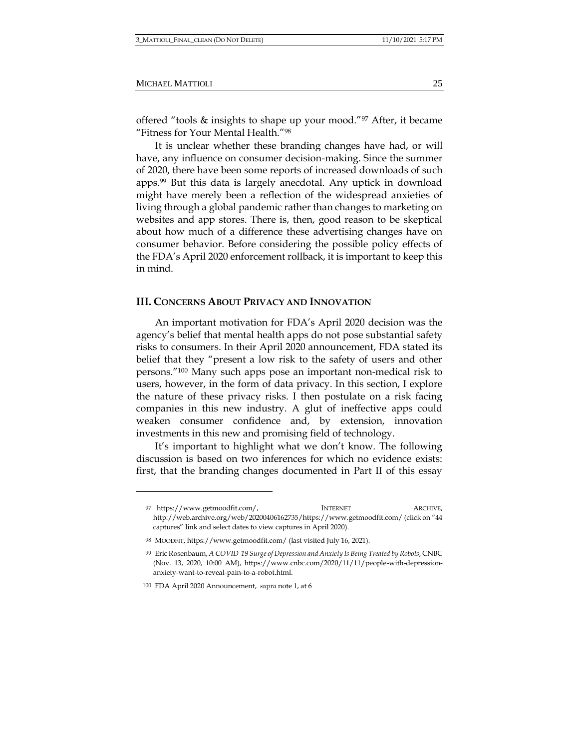offered "tools & insights to shape up your mood."<sup>97</sup> After, it became "Fitness for Your Mental Health."<sup>98</sup>

It is unclear whether these branding changes have had, or will have, any influence on consumer decision-making. Since the summer of 2020, there have been some reports of increased downloads of such apps.<sup>99</sup> But this data is largely anecdotal. Any uptick in download might have merely been a reflection of the widespread anxieties of living through a global pandemic rather than changes to marketing on websites and app stores. There is, then, good reason to be skeptical about how much of a difference these advertising changes have on consumer behavior. Before considering the possible policy effects of the FDA's April 2020 enforcement rollback, it is important to keep this in mind.

## **III. CONCERNS ABOUT PRIVACY AND INNOVATION**

An important motivation for FDA's April 2020 decision was the agency's belief that mental health apps do not pose substantial safety risks to consumers. In their April 2020 announcement, FDA stated its belief that they "present a low risk to the safety of users and other persons."<sup>100</sup> Many such apps pose an important non-medical risk to users, however, in the form of data privacy. In this section, I explore the nature of these privacy risks. I then postulate on a risk facing companies in this new industry. A glut of ineffective apps could weaken consumer confidence and, by extension, innovation investments in this new and promising field of technology.

It's important to highlight what we don't know. The following discussion is based on two inferences for which no evidence exists: first, that the branding changes documented in Part II of this essay

<sup>97</sup> https://www.getmoodfit.com/, INTERNET ARCHIVE, http://web.archive.org/web/20200406162735/https://www.getmoodfit.com/ (click on "44 captures" link and select dates to view captures in April 2020).

<sup>98</sup> MOODFIT, https://www.getmoodfit.com/ (last visited July 16, 2021).

<sup>99</sup> Eric Rosenbaum, *A COVID-19 Surge of Depression and Anxiety Is Being Treated by Robots*, CNBC (Nov. 13, 2020, 10:00 AM), https://www.cnbc.com/2020/11/11/people-with-depressionanxiety-want-to-reveal-pain-to-a-robot.html.

<sup>100</sup> FDA April 2020 Announcement, *supra* note 1, at 6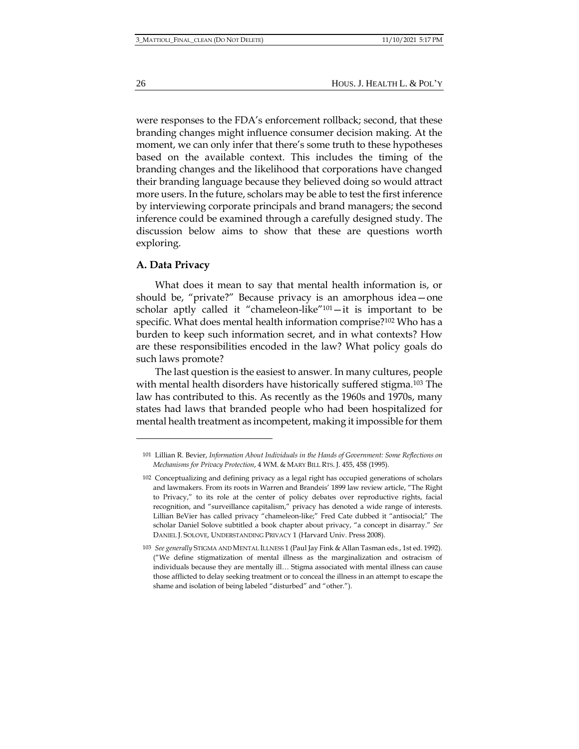were responses to the FDA's enforcement rollback; second, that these branding changes might influence consumer decision making. At the moment, we can only infer that there's some truth to these hypotheses based on the available context. This includes the timing of the branding changes and the likelihood that corporations have changed their branding language because they believed doing so would attract more users. In the future, scholars may be able to test the first inference by interviewing corporate principals and brand managers; the second inference could be examined through a carefully designed study. The discussion below aims to show that these are questions worth exploring.

### **A. Data Privacy**

What does it mean to say that mental health information is, or should be, "private?" Because privacy is an amorphous idea—one scholar aptly called it "chameleon-like"101—it is important to be specific. What does mental health information comprise?<sup>102</sup> Who has a burden to keep such information secret, and in what contexts? How are these responsibilities encoded in the law? What policy goals do such laws promote?

The last question is the easiest to answer. In many cultures, people with mental health disorders have historically suffered stigma.<sup>103</sup> The law has contributed to this. As recently as the 1960s and 1970s, many states had laws that branded people who had been hospitalized for mental health treatment as incompetent, making it impossible for them

<sup>101</sup> Lillian R. Bevier, *Information About Individuals in the Hands of Government: Some Reflections on Mechanisms for Privacy Protection*, 4 WM. & MARY BILL RTS. J. 455, 458 (1995).

<sup>102</sup> Conceptualizing and defining privacy as a legal right has occupied generations of scholars and lawmakers. From its roots in Warren and Brandeis' 1899 law review article, "The Right to Privacy," to its role at the center of policy debates over reproductive rights, facial recognition, and "surveillance capitalism," privacy has denoted a wide range of interests. Lillian BeVier has called privacy "chameleon-like;" Fred Cate dubbed it "antisocial;" The scholar Daniel Solove subtitled a book chapter about privacy, "a concept in disarray." *See* DANIEL J. SOLOVE, UNDERSTANDING PRIVACY 1 (Harvard Univ. Press 2008).

<sup>103</sup> *See generally* STIGMA AND MENTAL ILLNESS 1 (Paul Jay Fink & Allan Tasman eds., 1st ed. 1992). ("We define stigmatization of mental illness as the marginalization and ostracism of individuals because they are mentally ill… Stigma associated with mental illness can cause those afflicted to delay seeking treatment or to conceal the illness in an attempt to escape the shame and isolation of being labeled "disturbed" and "other.").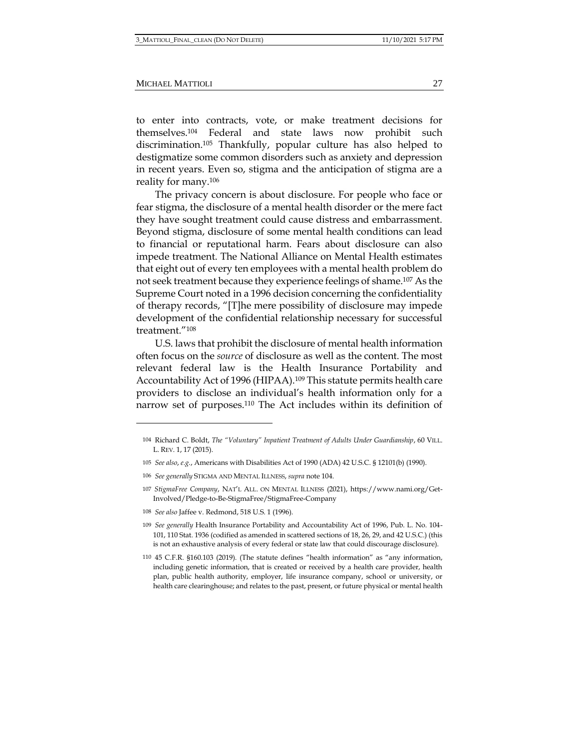to enter into contracts, vote, or make treatment decisions for themselves.<sup>104</sup> Federal and state laws now prohibit such discrimination.<sup>105</sup> Thankfully, popular culture has also helped to destigmatize some common disorders such as anxiety and depression in recent years. Even so, stigma and the anticipation of stigma are a reality for many.<sup>106</sup>

The privacy concern is about disclosure. For people who face or fear stigma, the disclosure of a mental health disorder or the mere fact they have sought treatment could cause distress and embarrassment. Beyond stigma, disclosure of some mental health conditions can lead to financial or reputational harm. Fears about disclosure can also impede treatment. The National Alliance on Mental Health estimates that eight out of every ten employees with a mental health problem do not seek treatment because they experience feelings of shame.<sup>107</sup> As the Supreme Court noted in a 1996 decision concerning the confidentiality of therapy records, "[T]he mere possibility of disclosure may impede development of the confidential relationship necessary for successful treatment."<sup>108</sup>

U.S. laws that prohibit the disclosure of mental health information often focus on the *source* of disclosure as well as the content. The most relevant federal law is the Health Insurance Portability and Accountability Act of 1996 (HIPAA).<sup>109</sup> This statute permits health care providers to disclose an individual's health information only for a narrow set of purposes.<sup>110</sup> The Act includes within its definition of

108 *See also* Jaffee v. Redmond, 518 U.S. 1 (1996).

<sup>104</sup> Richard C. Boldt, *The "Voluntary" Inpatient Treatment of Adults Under Guardianship*, 60 VILL. L. REV. 1, 17 (2015).

<sup>105</sup> *See also*, *e.g.*, Americans with Disabilities Act of 1990 (ADA) 42 U.S.C. § 12101(b) (1990).

<sup>106</sup> *See generally* STIGMA AND MENTAL ILLNESS, *supra* note 104.

<sup>107</sup> *StigmaFree Company*, NAT'L ALL. ON MENTAL ILLNESS (2021), https://www.nami.org/Get-Involved/Pledge-to-Be-StigmaFree/StigmaFree-Company

<sup>109</sup> *See generally* Health Insurance Portability and Accountability Act of 1996, Pub. L. No. 104- 101, 110 Stat. 1936 (codified as amended in scattered sections of 18, 26, 29, and 42 U.S.C.) (this is not an exhaustive analysis of every federal or state law that could discourage disclosure).

<sup>110</sup> 45 C.F.R. §160.103 (2019). (The statute defines "health information" as "any information, including genetic information, that is created or received by a health care provider, health plan, public health authority, employer, life insurance company, school or university, or health care clearinghouse; and relates to the past, present, or future physical or mental health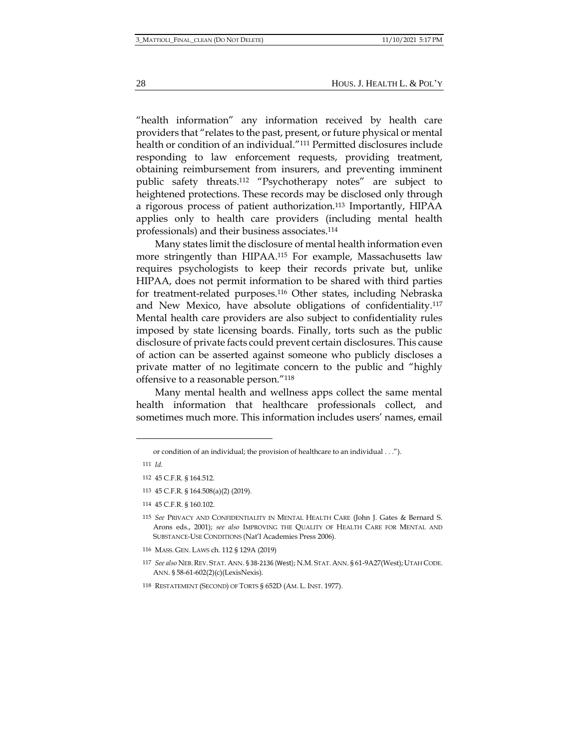"health information" any information received by health care providers that "relates to the past, present, or future physical or mental health or condition of an individual."<sup>111</sup> Permitted disclosures include responding to law enforcement requests, providing treatment, obtaining reimbursement from insurers, and preventing imminent public safety threats.<sup>112</sup> "Psychotherapy notes" are subject to heightened protections. These records may be disclosed only through a rigorous process of patient authorization.<sup>113</sup> Importantly, HIPAA applies only to health care providers (including mental health professionals) and their business associates.<sup>114</sup>

Many states limit the disclosure of mental health information even more stringently than HIPAA.<sup>115</sup> For example, Massachusetts law requires psychologists to keep their records private but, unlike HIPAA, does not permit information to be shared with third parties for treatment-related purposes.<sup>116</sup> Other states, including Nebraska and New Mexico, have absolute obligations of confidentiality.<sup>117</sup> Mental health care providers are also subject to confidentiality rules imposed by state licensing boards. Finally, torts such as the public disclosure of private facts could prevent certain disclosures. This cause of action can be asserted against someone who publicly discloses a private matter of no legitimate concern to the public and "highly offensive to a reasonable person."<sup>118</sup>

Many mental health and wellness apps collect the same mental health information that healthcare professionals collect, and sometimes much more. This information includes users' names, email

28 HOUS. J. HEALTH L. & POL'Y

or condition of an individual; the provision of healthcare to an individual . . .").

<sup>111</sup> *Id.*

<sup>112</sup> 45 C.F.R. § 164.512.

<sup>113</sup> 45 C.F.R. § 164.508(a)(2) (2019).

<sup>114</sup> 45 C.F.R. § 160.102.

<sup>115</sup> *See* PRIVACY AND CONFIDENTIALITY IN MENTAL HEALTH CARE (John J. Gates & Bernard S. Arons eds., 2001); *see also* IMPROVING THE QUALITY OF HEALTH CARE FOR MENTAL AND SUBSTANCE-USE CONDITIONS (Nat'l Academies Press 2006).

<sup>116</sup> MASS. GEN. LAWS ch. 112 § 129A (2019)

<sup>117</sup> *See also* NEB.REV. STAT. ANN. § 38-2136 (West); N.M. STAT. ANN. § 61-9A27(West);UTAH CODE. ANN. § 58-61-602(2)(c)(LexisNexis).

<sup>118</sup> RESTATEMENT (SECOND) OF TORTS § 652D (AM. L. INST. 1977).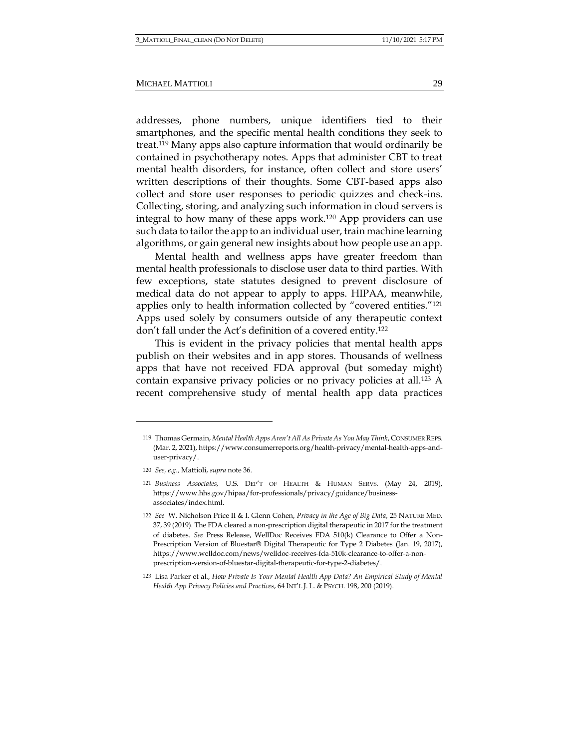addresses, phone numbers, unique identifiers tied to their smartphones, and the specific mental health conditions they seek to treat.<sup>119</sup> Many apps also capture information that would ordinarily be contained in psychotherapy notes. Apps that administer CBT to treat mental health disorders, for instance, often collect and store users' written descriptions of their thoughts. Some CBT-based apps also collect and store user responses to periodic quizzes and check-ins. Collecting, storing, and analyzing such information in cloud servers is integral to how many of these apps work.<sup>120</sup> App providers can use such data to tailor the app to an individual user, train machine learning algorithms, or gain general new insights about how people use an app.

Mental health and wellness apps have greater freedom than mental health professionals to disclose user data to third parties. With few exceptions, state statutes designed to prevent disclosure of medical data do not appear to apply to apps. HIPAA, meanwhile, applies only to health information collected by "covered entities."<sup>121</sup> Apps used solely by consumers outside of any therapeutic context don't fall under the Act's definition of a covered entity.<sup>122</sup>

This is evident in the privacy policies that mental health apps publish on their websites and in app stores. Thousands of wellness apps that have not received FDA approval (but someday might) contain expansive privacy policies or no privacy policies at all.<sup>123</sup> A recent comprehensive study of mental health app data practices

<sup>119</sup> Thomas Germain, *Mental Health Apps Aren't All As Private As You May Think*, CONSUMER REPS. (Mar. 2, 2021), https://www.consumerreports.org/health-privacy/mental-health-apps-anduser-privacy/.

<sup>120</sup> *See, e.g.,* Mattioli, *supra* note 36.

<sup>121</sup> *Business Associates,* U.S. DEP'T OF HEALTH & HUMAN SERVS. (May 24, 2019), https://www.hhs.gov/hipaa/for-professionals/privacy/guidance/businessassociates/index.html.

<sup>122</sup> *See* W. Nicholson Price II & I. Glenn Cohen, *Privacy in the Age of Big Data*, 25 NATURE MED. 37, 39 (2019). The FDA cleared a non-prescription digital therapeutic in 2017 for the treatment of diabetes. *See* Press Release, WellDoc Receives FDA 510(k) Clearance to Offer a Non-Prescription Version of Bluestar® Digital Therapeutic for Type 2 Diabetes (Jan. 19, 2017), https://www.welldoc.com/news/welldoc-receives-fda-510k-clearance-to-offer-a-nonprescription-version-of-bluestar-digital-therapeutic-for-type-2-diabetes/.

<sup>123</sup> Lisa Parker et al., *How Private Is Your Mental Health App Data? An Empirical Study of Mental Health App Privacy Policies and Practices*, 64 INT'L J. L. & PSYCH. 198, 200 (2019).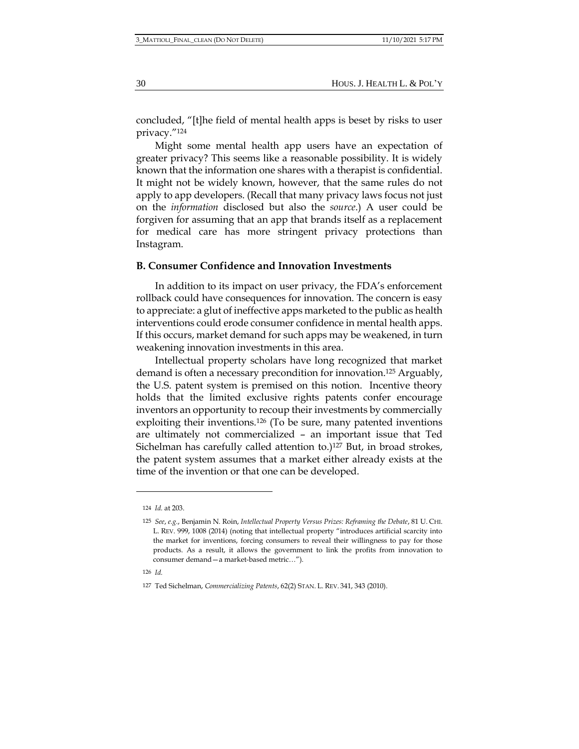concluded, "[t]he field of mental health apps is beset by risks to user privacy."<sup>124</sup>

Might some mental health app users have an expectation of greater privacy? This seems like a reasonable possibility. It is widely known that the information one shares with a therapist is confidential. It might not be widely known, however, that the same rules do not apply to app developers. (Recall that many privacy laws focus not just on the *information* disclosed but also the *source*.) A user could be forgiven for assuming that an app that brands itself as a replacement for medical care has more stringent privacy protections than Instagram.

#### **B. Consumer Confidence and Innovation Investments**

In addition to its impact on user privacy, the FDA's enforcement rollback could have consequences for innovation. The concern is easy to appreciate: a glut of ineffective apps marketed to the public as health interventions could erode consumer confidence in mental health apps. If this occurs, market demand for such apps may be weakened, in turn weakening innovation investments in this area.

Intellectual property scholars have long recognized that market demand is often a necessary precondition for innovation.<sup>125</sup> Arguably, the U.S. patent system is premised on this notion. Incentive theory holds that the limited exclusive rights patents confer encourage inventors an opportunity to recoup their investments by commercially exploiting their inventions.<sup>126</sup> (To be sure, many patented inventions are ultimately not commercialized – an important issue that Ted Sichelman has carefully called attention to.)<sup>127</sup> But, in broad strokes, the patent system assumes that a market either already exists at the time of the invention or that one can be developed.

<sup>124</sup> *Id.* at 203.

<sup>125</sup> *See*, *e.g.*, Benjamin N. Roin, *Intellectual Property Versus Prizes: Reframing the Debate*, 81 U. CHI. L. REV. 999, 1008 (2014) (noting that intellectual property "introduces artificial scarcity into the market for inventions, forcing consumers to reveal their willingness to pay for those products. As a result, it allows the government to link the profits from innovation to consumer demand—a market-based metric…").

<sup>126</sup> *Id.*

<sup>127</sup> Ted Sichelman, *Commercializing Patents*, 62(2) STAN. L. REV. 341, 343 (2010).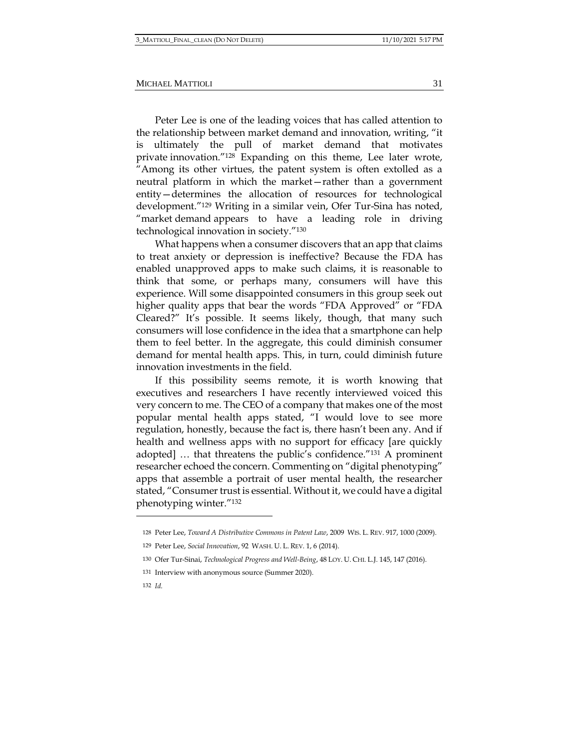Peter Lee is one of the leading voices that has called attention to the relationship between market demand and innovation, writing, "it is ultimately the pull of market demand that motivates private innovation."<sup>128</sup> Expanding on this theme, Lee later wrote, "Among its other virtues, the patent system is often extolled as a neutral platform in which the market—rather than a government entity—determines the allocation of resources for technological development."<sup>129</sup> Writing in a similar vein, Ofer Tur-Sina has noted, "market demand appears to have a leading role in driving technological innovation in society."<sup>130</sup>

What happens when a consumer discovers that an app that claims to treat anxiety or depression is ineffective? Because the FDA has enabled unapproved apps to make such claims, it is reasonable to think that some, or perhaps many, consumers will have this experience. Will some disappointed consumers in this group seek out higher quality apps that bear the words "FDA Approved" or "FDA Cleared?" It's possible. It seems likely, though, that many such consumers will lose confidence in the idea that a smartphone can help them to feel better. In the aggregate, this could diminish consumer demand for mental health apps. This, in turn, could diminish future innovation investments in the field.

If this possibility seems remote, it is worth knowing that executives and researchers I have recently interviewed voiced this very concern to me. The CEO of a company that makes one of the most popular mental health apps stated, "I would love to see more regulation, honestly, because the fact is, there hasn't been any. And if health and wellness apps with no support for efficacy [are quickly adopted] … that threatens the public's confidence."<sup>131</sup> A prominent researcher echoed the concern. Commenting on "digital phenotyping" apps that assemble a portrait of user mental health, the researcher stated, "Consumer trust is essential. Without it, we could have a digital phenotyping winter."<sup>132</sup>

<sup>128</sup> Peter Lee, *Toward A Distributive Commons in Patent Law*, 2009 WIS. L. REV. 917, 1000 (2009).

<sup>129</sup> Peter Lee, *Social Innovation*, 92 WASH. U. L. REV. 1, 6 (2014).

<sup>130</sup> Ofer Tur-Sinai, *Technological Progress and Well-Being*, 48 LOY. U. CHI. L.J. 145, 147 (2016).

<sup>131</sup> Interview with anonymous source (Summer 2020).

<sup>132</sup> *Id.*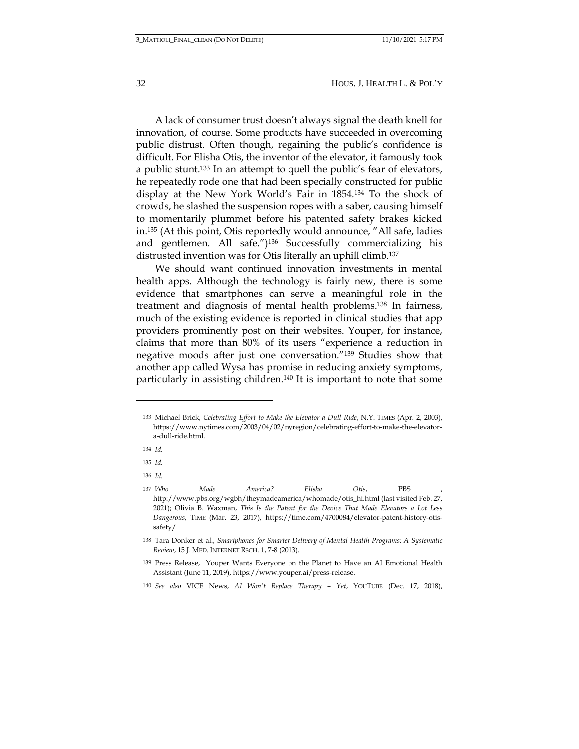32 HOUS. J. HEALTH L. & POL'Y

A lack of consumer trust doesn't always signal the death knell for innovation, of course. Some products have succeeded in overcoming public distrust. Often though, regaining the public's confidence is difficult. For Elisha Otis, the inventor of the elevator, it famously took a public stunt.<sup>133</sup> In an attempt to quell the public's fear of elevators, he repeatedly rode one that had been specially constructed for public display at the New York World's Fair in 1854.<sup>134</sup> To the shock of crowds, he slashed the suspension ropes with a saber, causing himself to momentarily plummet before his patented safety brakes kicked in.<sup>135</sup> (At this point, Otis reportedly would announce, "All safe, ladies and gentlemen. All safe.")<sup>136</sup> Successfully commercializing his distrusted invention was for Otis literally an uphill climb.<sup>137</sup>

We should want continued innovation investments in mental health apps. Although the technology is fairly new, there is some evidence that smartphones can serve a meaningful role in the treatment and diagnosis of mental health problems.<sup>138</sup> In fairness, much of the existing evidence is reported in clinical studies that app providers prominently post on their websites. Youper, for instance, claims that more than 80% of its users "experience a reduction in negative moods after just one conversation."<sup>139</sup> Studies show that another app called Wysa has promise in reducing anxiety symptoms, particularly in assisting children.<sup>140</sup> It is important to note that some

136 *Id.*

<sup>133</sup> Michael Brick, *Celebrating Effort to Make the Elevator a Dull Ride*, N.Y. TIMES (Apr. 2, 2003), https://www.nytimes.com/2003/04/02/nyregion/celebrating-effort-to-make-the-elevatora-dull-ride.html.

<sup>134</sup> *Id.*

<sup>135</sup> *Id.*

<sup>137</sup> *Who Made America? Elisha Otis*, PBS , http://www.pbs.org/wgbh/theymadeamerica/whomade/otis\_hi.html (last visited Feb. 27, 2021); Olivia B. Waxman, *This Is the Patent for the Device That Made Elevators a Lot Less Dangerous*, TIME (Mar. 23, 2017), https://time.com/4700084/elevator-patent-history-otissafety/

<sup>138</sup> Tara Donker et al., *Smartphones for Smarter Delivery of Mental Health Programs: A Systematic Review*, 15 J. MED. INTERNET RSCH. 1, 7-8 (2013).

<sup>139</sup> Press Release, Youper Wants Everyone on the Planet to Have an AI Emotional Health Assistant (June 11, 2019), https://www.youper.ai/press-release.

<sup>140</sup> *See also* VICE News, *AI Won't Replace Therapy – Yet*, YOUTUBE (Dec. 17, 2018),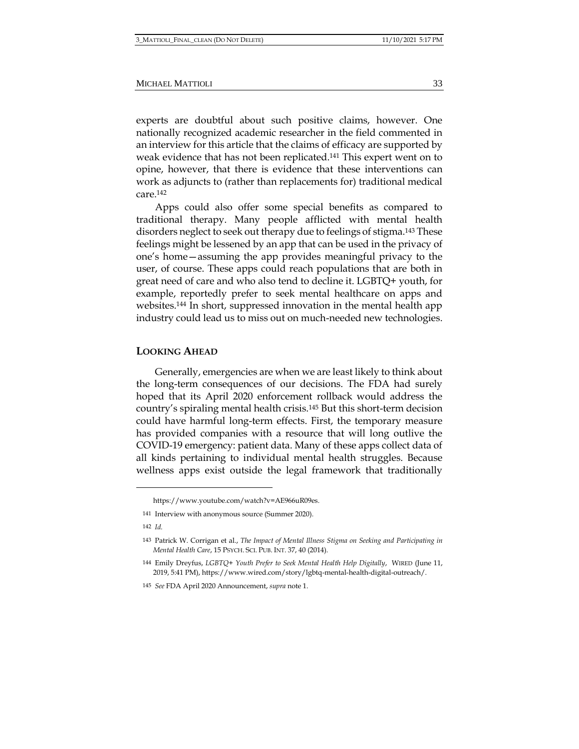experts are doubtful about such positive claims, however. One nationally recognized academic researcher in the field commented in an interview for this article that the claims of efficacy are supported by weak evidence that has not been replicated.<sup>141</sup> This expert went on to opine, however, that there is evidence that these interventions can work as adjuncts to (rather than replacements for) traditional medical care.<sup>142</sup>

Apps could also offer some special benefits as compared to traditional therapy. Many people afflicted with mental health disorders neglect to seek out therapy due to feelings of stigma.<sup>143</sup> These feelings might be lessened by an app that can be used in the privacy of one's home—assuming the app provides meaningful privacy to the user, of course. These apps could reach populations that are both in great need of care and who also tend to decline it. LGBTQ+ youth, for example, reportedly prefer to seek mental healthcare on apps and websites.<sup>144</sup> In short, suppressed innovation in the mental health app industry could lead us to miss out on much-needed new technologies.

#### **LOOKING AHEAD**

Generally, emergencies are when we are least likely to think about the long-term consequences of our decisions. The FDA had surely hoped that its April 2020 enforcement rollback would address the country's spiraling mental health crisis.<sup>145</sup> But this short-term decision could have harmful long-term effects. First, the temporary measure has provided companies with a resource that will long outlive the COVID-19 emergency: patient data. Many of these apps collect data of all kinds pertaining to individual mental health struggles. Because wellness apps exist outside the legal framework that traditionally

https://www.youtube.com/watch?v=AE966uR09es.

<sup>141</sup> Interview with anonymous source (Summer 2020).

<sup>142</sup> *Id.*

<sup>143</sup> Patrick W. Corrigan et al., *The Impact of Mental Illness Stigma on Seeking and Participating in Mental Health Care*, 15 PSYCH. SCI. PUB. INT. 37, 40 (2014).

<sup>144</sup> Emily Dreyfus, *LGBTQ+ Youth Prefer to Seek Mental Health Help Digitally*, WIRED (June 11, 2019, 5:41 PM), https://www.wired.com/story/lgbtq-mental-health-digital-outreach/.

<sup>145</sup> *See* FDA April 2020 Announcement, *supra* note 1.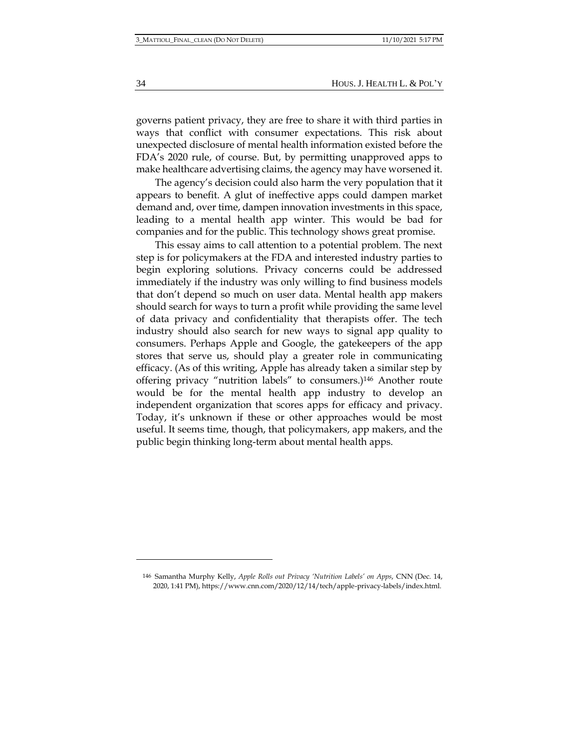governs patient privacy, they are free to share it with third parties in ways that conflict with consumer expectations. This risk about unexpected disclosure of mental health information existed before the FDA's 2020 rule, of course. But, by permitting unapproved apps to make healthcare advertising claims, the agency may have worsened it.

The agency's decision could also harm the very population that it appears to benefit. A glut of ineffective apps could dampen market demand and, over time, dampen innovation investments in this space, leading to a mental health app winter. This would be bad for companies and for the public. This technology shows great promise.

This essay aims to call attention to a potential problem. The next step is for policymakers at the FDA and interested industry parties to begin exploring solutions. Privacy concerns could be addressed immediately if the industry was only willing to find business models that don't depend so much on user data. Mental health app makers should search for ways to turn a profit while providing the same level of data privacy and confidentiality that therapists offer. The tech industry should also search for new ways to signal app quality to consumers. Perhaps Apple and Google, the gatekeepers of the app stores that serve us, should play a greater role in communicating efficacy. (As of this writing, Apple has already taken a similar step by offering privacy "nutrition labels" to consumers.)<sup>146</sup> Another route would be for the mental health app industry to develop an independent organization that scores apps for efficacy and privacy. Today, it's unknown if these or other approaches would be most useful. It seems time, though, that policymakers, app makers, and the public begin thinking long-term about mental health apps.

<sup>146</sup> Samantha Murphy Kelly, *Apple Rolls out Privacy 'Nutrition Labels' on Apps*, CNN (Dec. 14, 2020, 1:41 PM), https://www.cnn.com/2020/12/14/tech/apple-privacy-labels/index.html.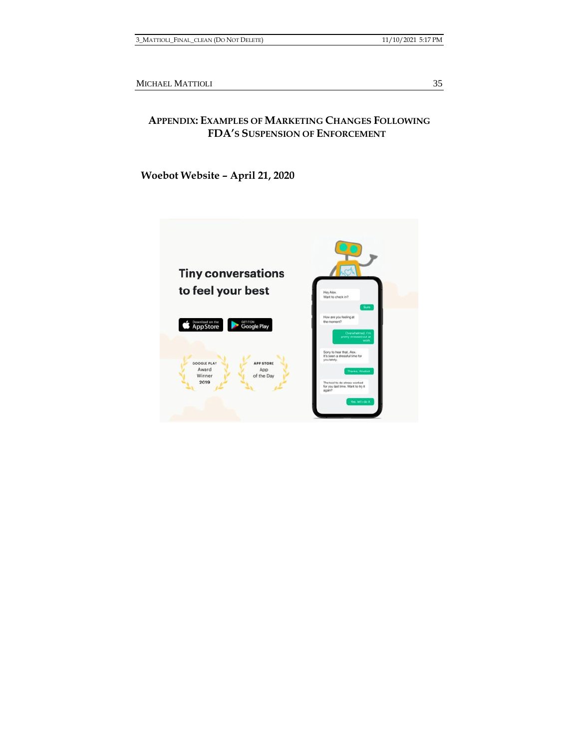# **APPENDIX: EXAMPLES OF MARKETING CHANGES FOLLOWING FDA'S SUSPENSION OF ENFORCEMENT**

**Woebot Website – April 21, 2020**

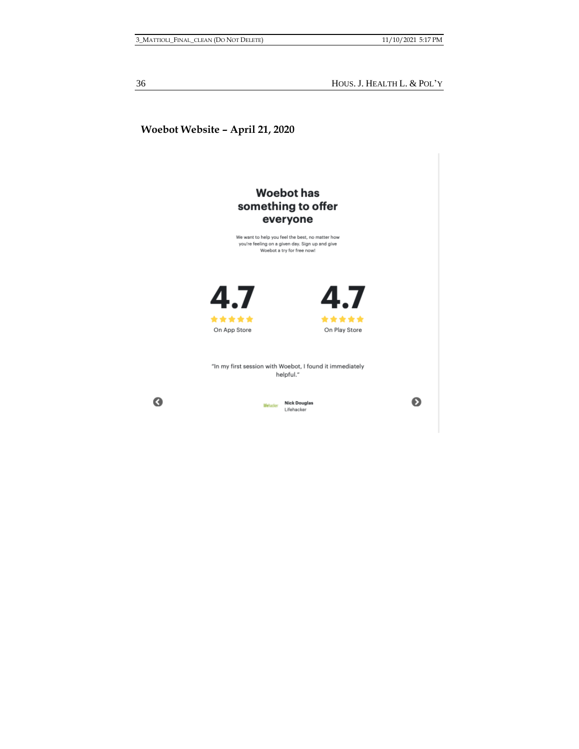36 HOUS. J. HEALTH L. & POL'Y

# **Woebot Website – April 21, 2020**



 $\bullet$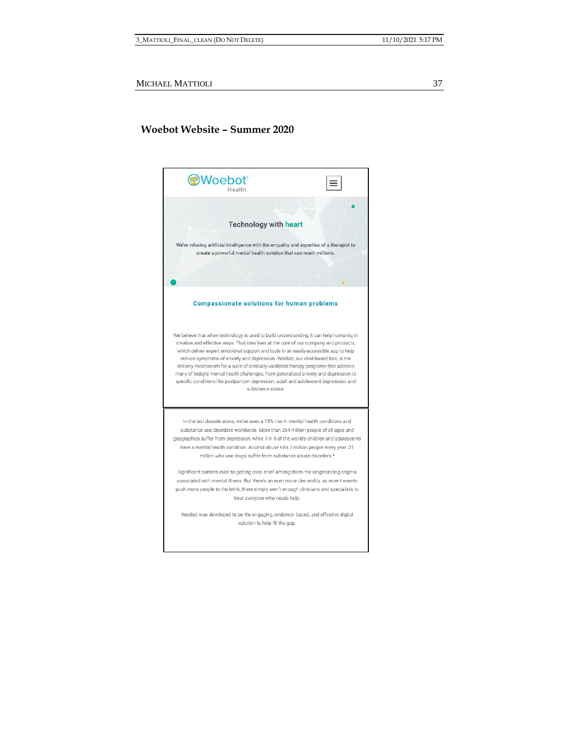## **Woebot Website – Summer 2020**

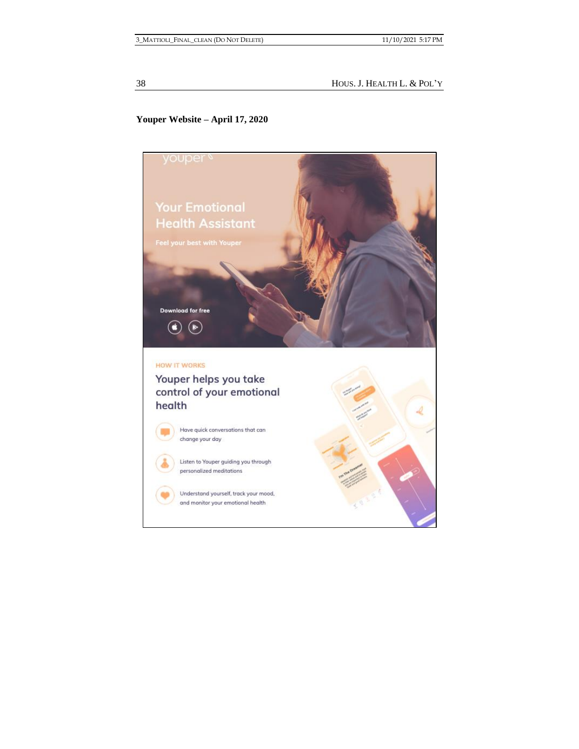38 HOUS. J. HEALTH L. & POL'Y

# **Youper Website – April 17, 2020**

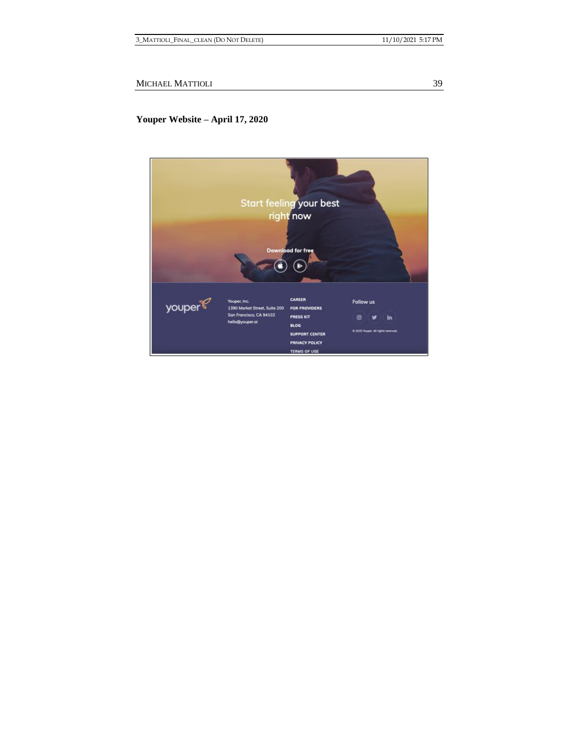# **Youper Website – April 17, 2020**

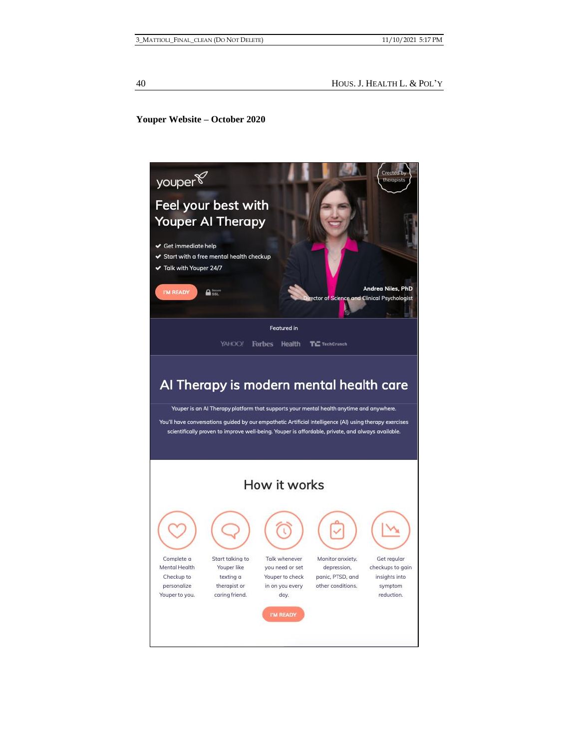## **Youper Website – October 2020**